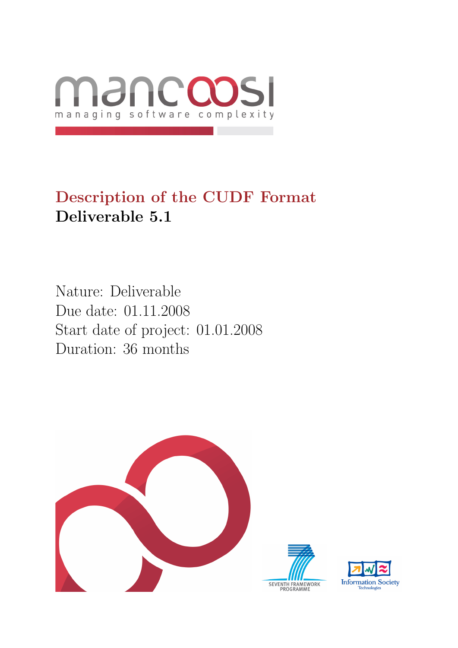

# Description of the CUDF Format Deliverable 5.1

Nature: Deliverable Due date: 01.11.2008 Start date of project: 01.01.2008 Duration: 36 months



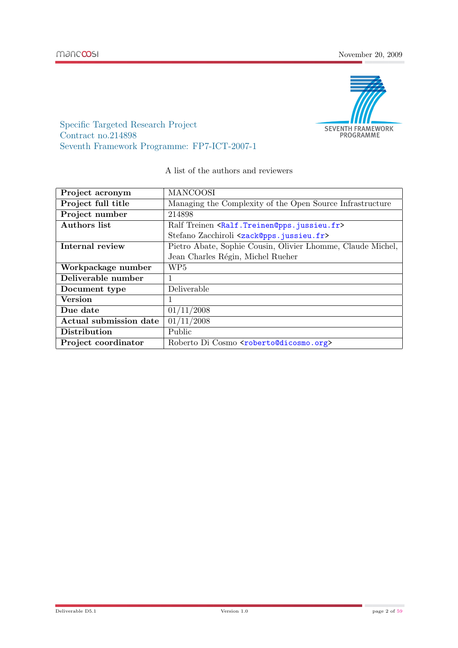

Specific Targeted Research Project Contract no.214898 Seventh Framework Programme: FP7-ICT-2007-1

#### A list of the authors and reviewers

| Project acronym        | <b>MANCOOSI</b>                                                          |
|------------------------|--------------------------------------------------------------------------|
| Project full title     | Managing the Complexity of the Open Source Infrastructure                |
| Project number         | 214898                                                                   |
| <b>Authors</b> list    | Ralf Treinen <ralf.treinen@pps.jussieu.fr></ralf.treinen@pps.jussieu.fr> |
|                        | Stefano Zacchiroli <zack@pps.jussieu.fr></zack@pps.jussieu.fr>           |
| Internal review        | Pietro Abate, Sophie Cousin, Olivier Lhomme, Claude Michel,              |
|                        | Jean Charles Régin, Michel Rueher                                        |
| Workpackage number     | WP <sub>5</sub>                                                          |
| Deliverable number     | $\mathbf{1}$                                                             |
| Document type          | Deliverable                                                              |
| <b>Version</b>         | $\mathbf{1}$                                                             |
| Due date               | 01/11/2008                                                               |
| Actual submission date | 01/11/2008                                                               |
| Distribution           | Public                                                                   |
| Project coordinator    | Roberto Di Cosmo <roberto@dicosmo.org></roberto@dicosmo.org>             |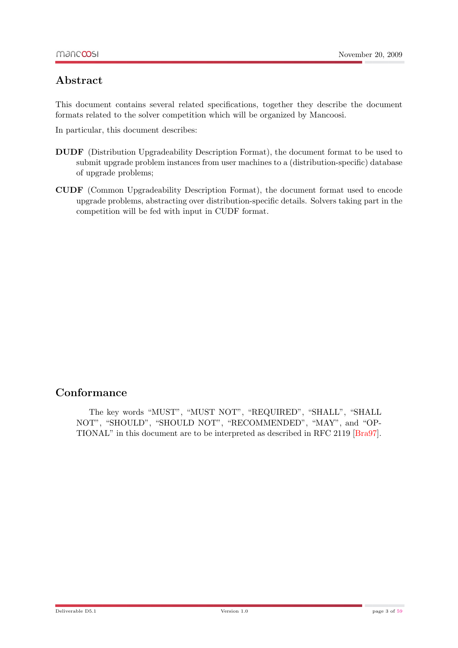### Abstract

This document contains several related specifications, together they describe the document formats related to the solver competition which will be organized by Mancoosi.

In particular, this document describes:

- DUDF (Distribution Upgradeability Description Format), the document format to be used to submit upgrade problem instances from user machines to a (distribution-specific) database of upgrade problems;
- CUDF (Common Upgradeability Description Format), the document format used to encode upgrade problems, abstracting over distribution-specific details. Solvers taking part in the competition will be fed with input in CUDF format.

### Conformance

The key words "MUST", "MUST NOT", "REQUIRED", "SHALL", "SHALL NOT", "SHOULD", "SHOULD NOT", "RECOMMENDED", "MAY", and "OP-TIONAL" in this document are to be interpreted as described in RFC 2119 [\[Bra97\]](#page-58-1).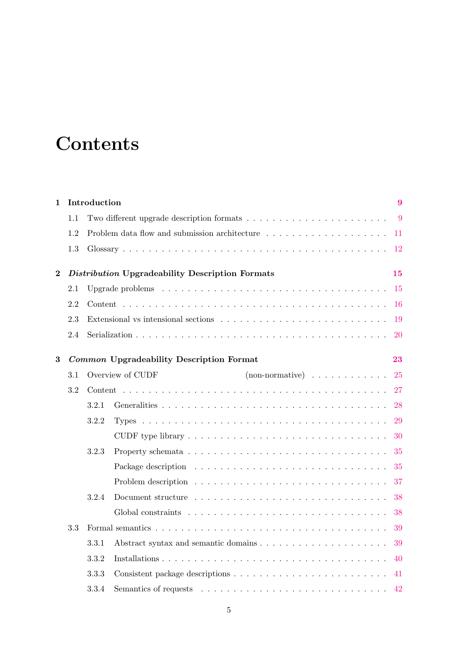# **Contents**

| 1              |     | Introduction |                                                               | 9         |
|----------------|-----|--------------|---------------------------------------------------------------|-----------|
|                | 1.1 |              |                                                               | 9         |
|                | 1.2 |              |                                                               | 11        |
|                | 1.3 |              |                                                               | 12        |
| $\overline{2}$ |     |              | Distribution Upgradeability Description Formats               | 15        |
|                | 2.1 |              |                                                               | 15        |
|                | 2.2 |              |                                                               | 16        |
|                | 2.3 |              |                                                               | 19        |
|                | 2.4 |              |                                                               | <b>20</b> |
| $\bf{3}$       |     |              | Common Upgradeability Description Format                      | 23        |
|                | 3.1 |              | Overview of CUDF<br>$(non-normative) \dots \dots \dots \dots$ | 25        |
|                | 3.2 |              |                                                               | 27        |
|                |     | 3.2.1        |                                                               | 28        |
|                |     | 3.2.2        |                                                               | 29        |
|                |     |              |                                                               | 30        |
|                |     | 3.2.3        |                                                               | 35        |
|                |     |              |                                                               | 35        |
|                |     |              |                                                               | 37        |
|                |     | 3.2.4        |                                                               | 38        |
|                |     |              |                                                               | 38        |
|                | 3.3 |              |                                                               | 39        |
|                |     | 3.3.1        |                                                               | 39        |
|                |     | 3.3.2        |                                                               | 40        |
|                |     | 3.3.3        |                                                               | 41        |
|                |     | 3.3.4        |                                                               | 42        |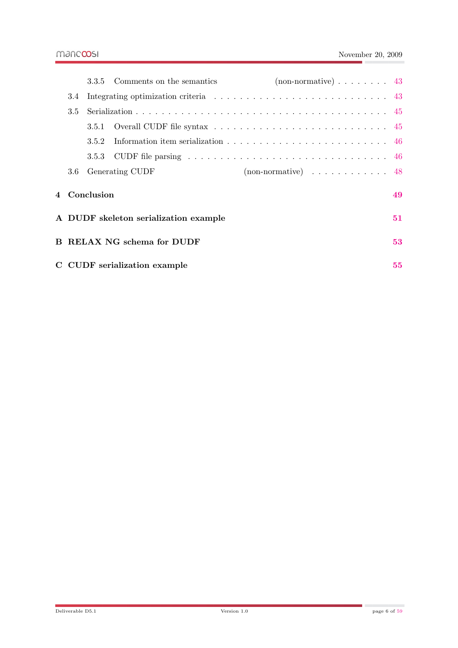|                                       | 3.3.5        | Comments on the semantics    | $non-normative) \ldots \ldots \ldots$ 43           |    |
|---------------------------------------|--------------|------------------------------|----------------------------------------------------|----|
| 3.4                                   |              |                              |                                                    |    |
| 3.5                                   |              |                              |                                                    |    |
|                                       | 3.5.1        |                              |                                                    |    |
|                                       | 3.5.2        |                              |                                                    |    |
|                                       | 3.5.3        |                              |                                                    |    |
| 3.6                                   |              | Generating CUDF              | $(non-normative) \dots \dots \dots \dots \dots 48$ |    |
|                                       | 4 Conclusion |                              |                                                    | 49 |
| A DUDF skeleton serialization example |              | 51                           |                                                    |    |
| B RELAX NG schema for DUDF            |              | 53                           |                                                    |    |
|                                       |              | C CUDF serialization example |                                                    | 55 |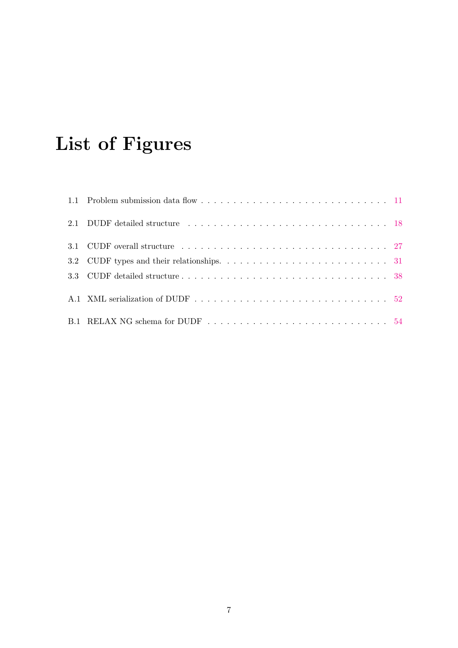# List of Figures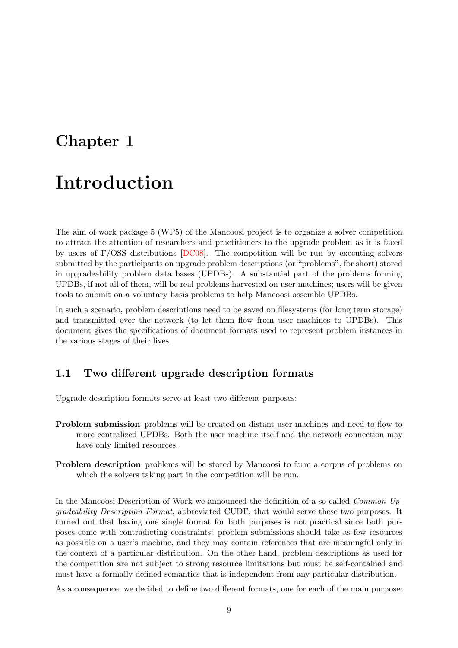## <span id="page-8-0"></span>Chapter 1

# Introduction

The aim of work package 5 (WP5) of the Mancoosi project is to organize a solver competition to attract the attention of researchers and practitioners to the upgrade problem as it is faced by users of F/OSS distributions [\[DC08\]](#page-58-2). The competition will be run by executing solvers submitted by the participants on upgrade problem descriptions (or "problems", for short) stored in upgradeability problem data bases (UPDBs). A substantial part of the problems forming UPDBs, if not all of them, will be real problems harvested on user machines; users will be given tools to submit on a voluntary basis problems to help Mancoosi assemble UPDBs.

In such a scenario, problem descriptions need to be saved on filesystems (for long term storage) and transmitted over the network (to let them flow from user machines to UPDBs). This document gives the specifications of document formats used to represent problem instances in the various stages of their lives.

#### <span id="page-8-1"></span>1.1 Two different upgrade description formats

Upgrade description formats serve at least two different purposes:

- Problem submission problems will be created on distant user machines and need to flow to more centralized UPDBs. Both the user machine itself and the network connection may have only limited resources.
- **Problem description** problems will be stored by Mancoosi to form a corpus of problems on which the solvers taking part in the competition will be run.

In the Mancoosi Description of Work we announced the definition of a so-called Common Upgradeability Description Format, abbreviated CUDF, that would serve these two purposes. It turned out that having one single format for both purposes is not practical since both purposes come with contradicting constraints: problem submissions should take as few resources as possible on a user's machine, and they may contain references that are meaningful only in the context of a particular distribution. On the other hand, problem descriptions as used for the competition are not subject to strong resource limitations but must be self-contained and must have a formally defined semantics that is independent from any particular distribution.

As a consequence, we decided to define two different formats, one for each of the main purpose: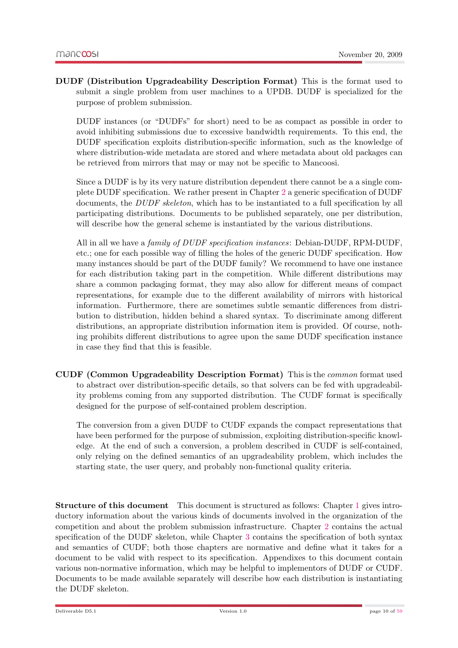DUDF (Distribution Upgradeability Description Format) This is the format used to submit a single problem from user machines to a UPDB. DUDF is specialized for the purpose of problem submission.

DUDF instances (or "DUDFs" for short) need to be as compact as possible in order to avoid inhibiting submissions due to excessive bandwidth requirements. To this end, the DUDF specification exploits distribution-specific information, such as the knowledge of where distribution-wide metadata are stored and where metadata about old packages can be retrieved from mirrors that may or may not be specific to Mancoosi.

Since a DUDF is by its very nature distribution dependent there cannot be a a single complete DUDF specification. We rather present in Chapter [2](#page-14-0) a generic specification of DUDF documents, the DUDF skeleton, which has to be instantiated to a full specification by all participating distributions. Documents to be published separately, one per distribution, will describe how the general scheme is instantiated by the various distributions.

All in all we have a family of DUDF specification instances: Debian-DUDF, RPM-DUDF, etc.; one for each possible way of filling the holes of the generic DUDF specification. How many instances should be part of the DUDF family? We recommend to have one instance for each distribution taking part in the competition. While different distributions may share a common packaging format, they may also allow for different means of compact representations, for example due to the different availability of mirrors with historical information. Furthermore, there are sometimes subtle semantic differences from distribution to distribution, hidden behind a shared syntax. To discriminate among different distributions, an appropriate distribution information item is provided. Of course, nothing prohibits different distributions to agree upon the same DUDF specification instance in case they find that this is feasible.

CUDF (Common Upgradeability Description Format) This is the common format used to abstract over distribution-specific details, so that solvers can be fed with upgradeability problems coming from any supported distribution. The CUDF format is specifically designed for the purpose of self-contained problem description.

The conversion from a given DUDF to CUDF expands the compact representations that have been performed for the purpose of submission, exploiting distribution-specific knowledge. At the end of such a conversion, a problem described in CUDF is self-contained, only relying on the defined semantics of an upgradeability problem, which includes the starting state, the user query, and probably non-functional quality criteria.

Structure of this document This document is structured as follows: Chapter [1](#page-8-0) gives introductory information about the various kinds of documents involved in the organization of the competition and about the problem submission infrastructure. Chapter [2](#page-14-0) contains the actual specification of the DUDF skeleton, while Chapter [3](#page-22-0) contains the specification of both syntax and semantics of CUDF; both those chapters are normative and define what it takes for a document to be valid with respect to its specification. Appendixes to this document contain various non-normative information, which may be helpful to implementors of DUDF or CUDF. Documents to be made available separately will describe how each distribution is instantiating the DUDF skeleton.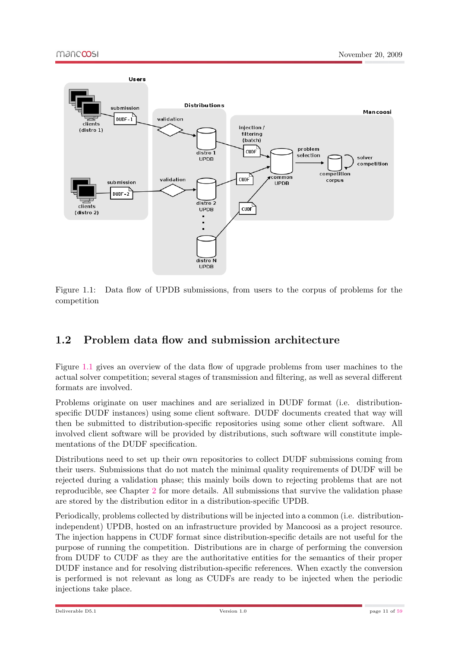

<span id="page-10-1"></span>Figure 1.1: Data flow of UPDB submissions, from users to the corpus of problems for the competition

### <span id="page-10-0"></span>1.2 Problem data flow and submission architecture

Figure [1.1](#page-10-1) gives an overview of the data flow of upgrade problems from user machines to the actual solver competition; several stages of transmission and filtering, as well as several different formats are involved.

Problems originate on user machines and are serialized in DUDF format (i.e. distributionspecific DUDF instances) using some client software. DUDF documents created that way will then be submitted to distribution-specific repositories using some other client software. All involved client software will be provided by distributions, such software will constitute implementations of the DUDF specification.

Distributions need to set up their own repositories to collect DUDF submissions coming from their users. Submissions that do not match the minimal quality requirements of DUDF will be rejected during a validation phase; this mainly boils down to rejecting problems that are not reproducible, see Chapter [2](#page-14-0) for more details. All submissions that survive the validation phase are stored by the distribution editor in a distribution-specific UPDB.

Periodically, problems collected by distributions will be injected into a common (i.e. distributionindependent) UPDB, hosted on an infrastructure provided by Mancoosi as a project resource. The injection happens in CUDF format since distribution-specific details are not useful for the purpose of running the competition. Distributions are in charge of performing the conversion from DUDF to CUDF as they are the authoritative entities for the semantics of their proper DUDF instance and for resolving distribution-specific references. When exactly the conversion is performed is not relevant as long as CUDFs are ready to be injected when the periodic injections take place.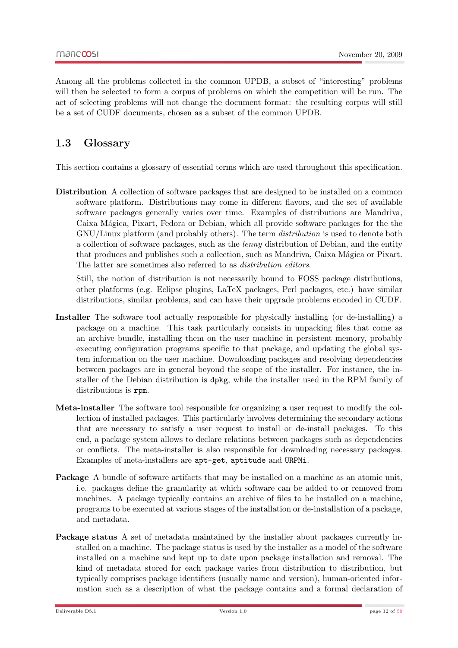Among all the problems collected in the common UPDB, a subset of "interesting" problems will then be selected to form a corpus of problems on which the competition will be run. The act of selecting problems will not change the document format: the resulting corpus will still be a set of CUDF documents, chosen as a subset of the common UPDB.

### <span id="page-11-0"></span>1.3 Glossary

This section contains a glossary of essential terms which are used throughout this specification.

Distribution A collection of software packages that are designed to be installed on a common software platform. Distributions may come in different flavors, and the set of available software packages generally varies over time. Examples of distributions are Mandriva, Caixa M´agica, Pixart, Fedora or Debian, which all provide software packages for the the GNU/Linux platform (and probably others). The term distribution is used to denote both a collection of software packages, such as the lenny distribution of Debian, and the entity that produces and publishes such a collection, such as Mandriva, Caixa Mágica or Pixart. The latter are sometimes also referred to as distribution editors.

Still, the notion of distribution is not necessarily bound to FOSS package distributions, other platforms (e.g. Eclipse plugins, LaTeX packages, Perl packages, etc.) have similar distributions, similar problems, and can have their upgrade problems encoded in CUDF.

- Installer The software tool actually responsible for physically installing (or de-installing) a package on a machine. This task particularly consists in unpacking files that come as an archive bundle, installing them on the user machine in persistent memory, probably executing configuration programs specific to that package, and updating the global system information on the user machine. Downloading packages and resolving dependencies between packages are in general beyond the scope of the installer. For instance, the installer of the Debian distribution is dpkg, while the installer used in the RPM family of distributions is rpm.
- Meta-installer The software tool responsible for organizing a user request to modify the collection of installed packages. This particularly involves determining the secondary actions that are necessary to satisfy a user request to install or de-install packages. To this end, a package system allows to declare relations between packages such as dependencies or conflicts. The meta-installer is also responsible for downloading necessary packages. Examples of meta-installers are apt-get, aptitude and URPMi.
- Package A bundle of software artifacts that may be installed on a machine as an atomic unit, i.e. packages define the granularity at which software can be added to or removed from machines. A package typically contains an archive of files to be installed on a machine, programs to be executed at various stages of the installation or de-installation of a package, and metadata.
- Package status A set of metadata maintained by the installer about packages currently installed on a machine. The package status is used by the installer as a model of the software installed on a machine and kept up to date upon package installation and removal. The kind of metadata stored for each package varies from distribution to distribution, but typically comprises package identifiers (usually name and version), human-oriented information such as a description of what the package contains and a formal declaration of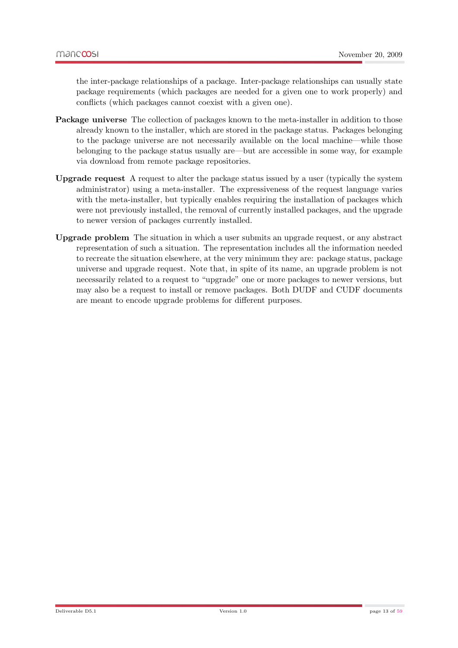the inter-package relationships of a package. Inter-package relationships can usually state package requirements (which packages are needed for a given one to work properly) and conflicts (which packages cannot coexist with a given one).

- Package universe The collection of packages known to the meta-installer in addition to those already known to the installer, which are stored in the package status. Packages belonging to the package universe are not necessarily available on the local machine—while those belonging to the package status usually are—but are accessible in some way, for example via download from remote package repositories.
- Upgrade request A request to alter the package status issued by a user (typically the system administrator) using a meta-installer. The expressiveness of the request language varies with the meta-installer, but typically enables requiring the installation of packages which were not previously installed, the removal of currently installed packages, and the upgrade to newer version of packages currently installed.
- Upgrade problem The situation in which a user submits an upgrade request, or any abstract representation of such a situation. The representation includes all the information needed to recreate the situation elsewhere, at the very minimum they are: package status, package universe and upgrade request. Note that, in spite of its name, an upgrade problem is not necessarily related to a request to "upgrade" one or more packages to newer versions, but may also be a request to install or remove packages. Both DUDF and CUDF documents are meant to encode upgrade problems for different purposes.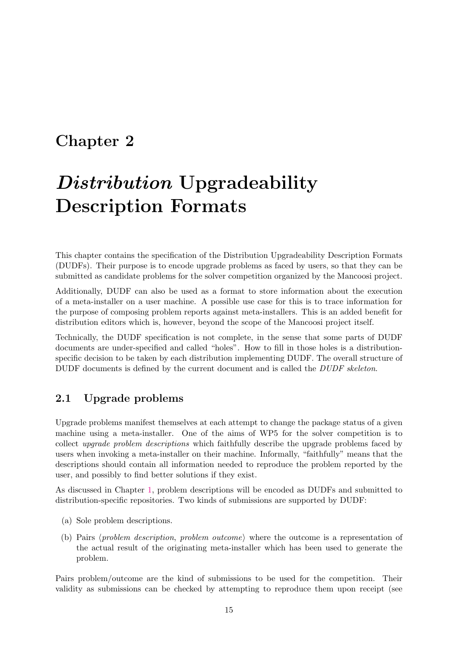## <span id="page-14-0"></span>Chapter 2

# Distribution Upgradeability Description Formats

This chapter contains the specification of the Distribution Upgradeability Description Formats (DUDFs). Their purpose is to encode upgrade problems as faced by users, so that they can be submitted as candidate problems for the solver competition organized by the Mancoosi project.

Additionally, DUDF can also be used as a format to store information about the execution of a meta-installer on a user machine. A possible use case for this is to trace information for the purpose of composing problem reports against meta-installers. This is an added benefit for distribution editors which is, however, beyond the scope of the Mancoosi project itself.

Technically, the DUDF specification is not complete, in the sense that some parts of DUDF documents are under-specified and called "holes". How to fill in those holes is a distributionspecific decision to be taken by each distribution implementing DUDF. The overall structure of DUDF documents is defined by the current document and is called the *DUDF skeleton*.

#### <span id="page-14-1"></span>2.1 Upgrade problems

Upgrade problems manifest themselves at each attempt to change the package status of a given machine using a meta-installer. One of the aims of WP5 for the solver competition is to collect upgrade problem descriptions which faithfully describe the upgrade problems faced by users when invoking a meta-installer on their machine. Informally, "faithfully" means that the descriptions should contain all information needed to reproduce the problem reported by the user, and possibly to find better solutions if they exist.

As discussed in Chapter [1,](#page-8-0) problem descriptions will be encoded as DUDFs and submitted to distribution-specific repositories. Two kinds of submissions are supported by DUDF:

- (a) Sole problem descriptions.
- (b) Pairs (problem description, problem outcome) where the outcome is a representation of the actual result of the originating meta-installer which has been used to generate the problem.

Pairs problem/outcome are the kind of submissions to be used for the competition. Their validity as submissions can be checked by attempting to reproduce them upon receipt (see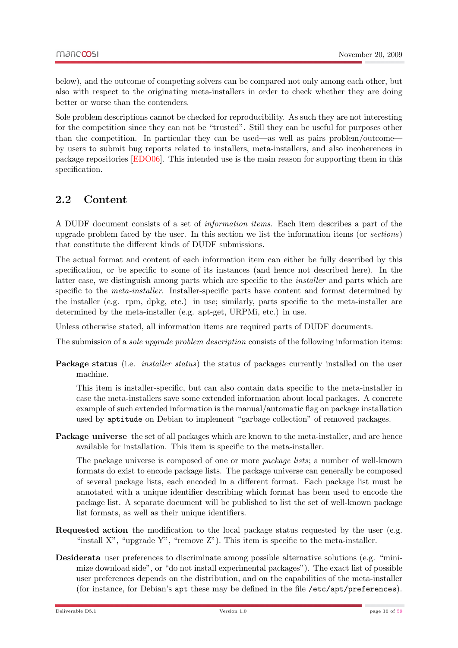below), and the outcome of competing solvers can be compared not only among each other, but also with respect to the originating meta-installers in order to check whether they are doing better or worse than the contenders.

Sole problem descriptions cannot be checked for reproducibility. As such they are not interesting for the competition since they can not be "trusted". Still they can be useful for purposes other than the competition. In particular they can be used—as well as pairs problem/outcome by users to submit bug reports related to installers, meta-installers, and also incoherences in package repositories [\[EDO06\]](#page-58-3). This intended use is the main reason for supporting them in this specification.

#### <span id="page-15-0"></span>2.2 Content

A DUDF document consists of a set of information items. Each item describes a part of the upgrade problem faced by the user. In this section we list the information items (or sections) that constitute the different kinds of DUDF submissions.

The actual format and content of each information item can either be fully described by this specification, or be specific to some of its instances (and hence not described here). In the latter case, we distinguish among parts which are specific to the installer and parts which are specific to the *meta-installer*. Installer-specific parts have content and format determined by the installer (e.g. rpm, dpkg, etc.) in use; similarly, parts specific to the meta-installer are determined by the meta-installer (e.g. apt-get, URPMi, etc.) in use.

Unless otherwise stated, all information items are required parts of DUDF documents.

The submission of a *sole upgrade problem description* consists of the following information items:

Package status (i.e. *installer status*) the status of packages currently installed on the user machine.

This item is installer-specific, but can also contain data specific to the meta-installer in case the meta-installers save some extended information about local packages. A concrete example of such extended information is the manual/automatic flag on package installation used by aptitude on Debian to implement "garbage collection" of removed packages.

Package universe the set of all packages which are known to the meta-installer, and are hence available for installation. This item is specific to the meta-installer.

The package universe is composed of one or more package lists; a number of well-known formats do exist to encode package lists. The package universe can generally be composed of several package lists, each encoded in a different format. Each package list must be annotated with a unique identifier describing which format has been used to encode the package list. A separate document will be published to list the set of well-known package list formats, as well as their unique identifiers.

- Requested action the modification to the local package status requested by the user (e.g. "install  $X$ ", "upgrade  $Y$ ", "remove  $Z$ "). This item is specific to the meta-installer.
- Desiderata user preferences to discriminate among possible alternative solutions (e.g. "minimize download side", or "do not install experimental packages"). The exact list of possible user preferences depends on the distribution, and on the capabilities of the meta-installer (for instance, for Debian's apt these may be defined in the file /etc/apt/preferences).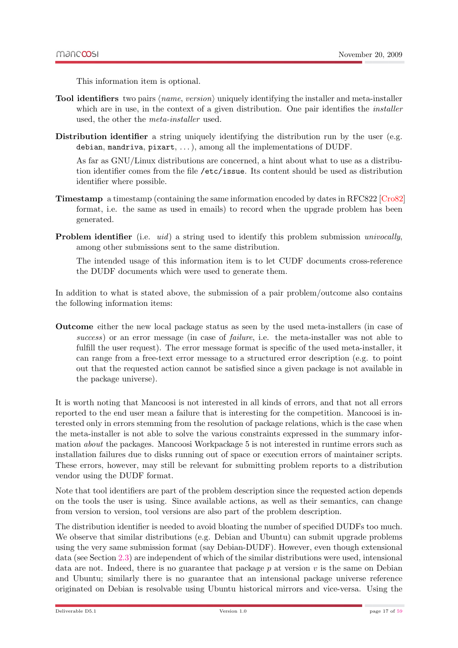This information item is optional.

- Tool identifiers two pairs  $\langle name, version \rangle$  uniquely identifying the installer and meta-installer which are in use, in the context of a given distribution. One pair identifies the *installer* used, the other the meta-installer used.
- Distribution identifier a string uniquely identifying the distribution run by the user (e.g. debian, mandriva, pixart, . . . ), among all the implementations of DUDF.

As far as GNU/Linux distributions are concerned, a hint about what to use as a distribution identifier comes from the file /etc/issue. Its content should be used as distribution identifier where possible.

- Timestamp a timestamp (containing the same information encoded by dates in RFC822 [\[Cro82\]](#page-58-4) format, i.e. the same as used in emails) to record when the upgrade problem has been generated.
- Problem identifier (i.e. *uid*) a string used to identify this problem submission *univocally*, among other submissions sent to the same distribution.

The intended usage of this information item is to let CUDF documents cross-reference the DUDF documents which were used to generate them.

In addition to what is stated above, the submission of a pair problem/outcome also contains the following information items:

Outcome either the new local package status as seen by the used meta-installers (in case of success) or an error message (in case of *failure*, i.e. the meta-installer was not able to fulfill the user request). The error message format is specific of the used meta-installer, it can range from a free-text error message to a structured error description (e.g. to point out that the requested action cannot be satisfied since a given package is not available in the package universe).

It is worth noting that Mancoosi is not interested in all kinds of errors, and that not all errors reported to the end user mean a failure that is interesting for the competition. Mancoosi is interested only in errors stemming from the resolution of package relations, which is the case when the meta-installer is not able to solve the various constraints expressed in the summary information about the packages. Mancoosi Workpackage 5 is not interested in runtime errors such as installation failures due to disks running out of space or execution errors of maintainer scripts. These errors, however, may still be relevant for submitting problem reports to a distribution vendor using the DUDF format.

Note that tool identifiers are part of the problem description since the requested action depends on the tools the user is using. Since available actions, as well as their semantics, can change from version to version, tool versions are also part of the problem description.

The distribution identifier is needed to avoid bloating the number of specified DUDFs too much. We observe that similar distributions (e.g. Debian and Ubuntu) can submit upgrade problems using the very same submission format (say Debian-DUDF). However, even though extensional data (see Section [2.3\)](#page-18-0) are independent of which of the similar distributions were used, intensional data are not. Indeed, there is no guarantee that package  $p$  at version  $v$  is the same on Debian and Ubuntu; similarly there is no guarantee that an intensional package universe reference originated on Debian is resolvable using Ubuntu historical mirrors and vice-versa. Using the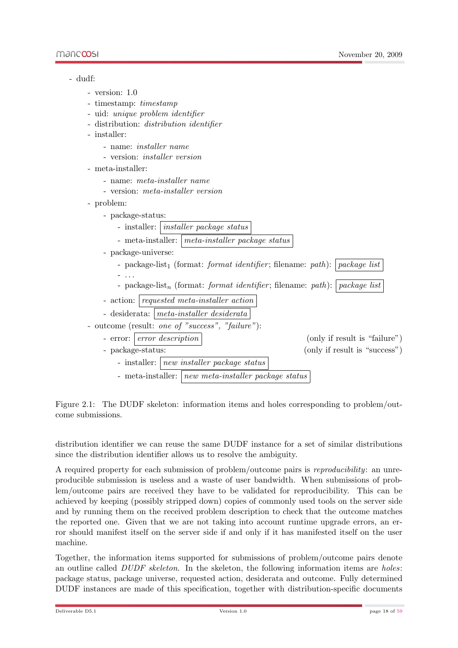

<span id="page-17-0"></span>Figure 2.1: The DUDF skeleton: information items and holes corresponding to problem/outcome submissions.

distribution identifier we can reuse the same DUDF instance for a set of similar distributions since the distribution identifier allows us to resolve the ambiguity.

A required property for each submission of problem/outcome pairs is reproducibility: an unreproducible submission is useless and a waste of user bandwidth. When submissions of problem/outcome pairs are received they have to be validated for reproducibility. This can be achieved by keeping (possibly stripped down) copies of commonly used tools on the server side and by running them on the received problem description to check that the outcome matches the reported one. Given that we are not taking into account runtime upgrade errors, an error should manifest itself on the server side if and only if it has manifested itself on the user machine.

Together, the information items supported for submissions of problem/outcome pairs denote an outline called  $DUDF$  skeleton. In the skeleton, the following information items are holes: package status, package universe, requested action, desiderata and outcome. Fully determined DUDF instances are made of this specification, together with distribution-specific documents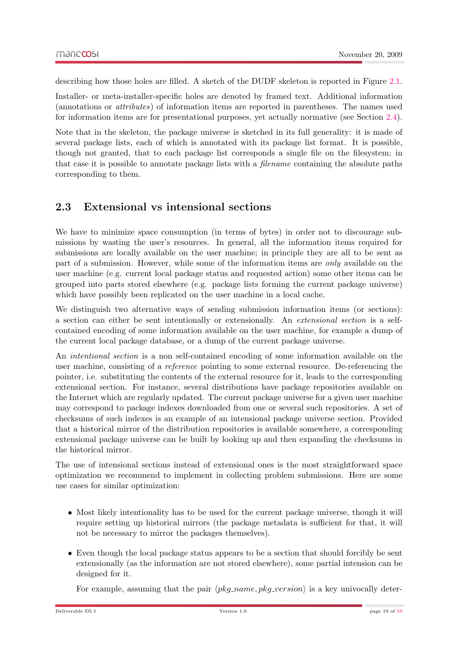describing how those holes are filled. A sketch of the DUDF skeleton is reported in Figure [2.1.](#page-17-0)

Installer- or meta-installer-specific holes are denoted by framed text. Additional information (annotations or attributes) of information items are reported in parentheses. The names used for information items are for presentational purposes, yet actually normative (see Section [2.4\)](#page-19-0).

Note that in the skeleton, the package universe is sketched in its full generality: it is made of several package lists, each of which is annotated with its package list format. It is possible, though not granted, that to each package list corresponds a single file on the filesystem; in that case it is possible to annotate package lists with a filename containing the absolute paths corresponding to them.

### <span id="page-18-0"></span>2.3 Extensional vs intensional sections

We have to minimize space consumption (in terms of bytes) in order not to discourage submissions by wasting the user's resources. In general, all the information items required for submissions are locally available on the user machine; in principle they are all to be sent as part of a submission. However, while some of the information items are only available on the user machine (e.g. current local package status and requested action) some other items can be grouped into parts stored elsewhere (e.g. package lists forming the current package universe) which have possibly been replicated on the user machine in a local cache.

We distinguish two alternative ways of sending submission information items (or sections): a section can either be sent intentionally or extensionally. An extensional section is a selfcontained encoding of some information available on the user machine, for example a dump of the current local package database, or a dump of the current package universe.

An intentional section is a non self-contained encoding of some information available on the user machine, consisting of a reference pointing to some external resource. De-referencing the pointer, i.e. substituting the contents of the external resource for it, leads to the corresponding extensional section. For instance, several distributions have package repositories available on the Internet which are regularly updated. The current package universe for a given user machine may correspond to package indexes downloaded from one or several such repositories. A set of checksums of such indexes is an example of an intensional package universe section. Provided that a historical mirror of the distribution repositories is available somewhere, a corresponding extensional package universe can be built by looking up and then expanding the checksums in the historical mirror.

The use of intensional sections instead of extensional ones is the most straightforward space optimization we recommend to implement in collecting problem submissions. Here are some use cases for similar optimization:

- Most likely intentionality has to be used for the current package universe, though it will require setting up historical mirrors (the package metadata is sufficient for that, it will not be necessary to mirror the packages themselves).
- Even though the local package status appears to be a section that should forcibly be sent extensionally (as the information are not stored elsewhere), some partial intension can be designed for it.

For example, assuming that the pair  $\langle pkg_name, pkg-version \rangle$  is a key univocally deter-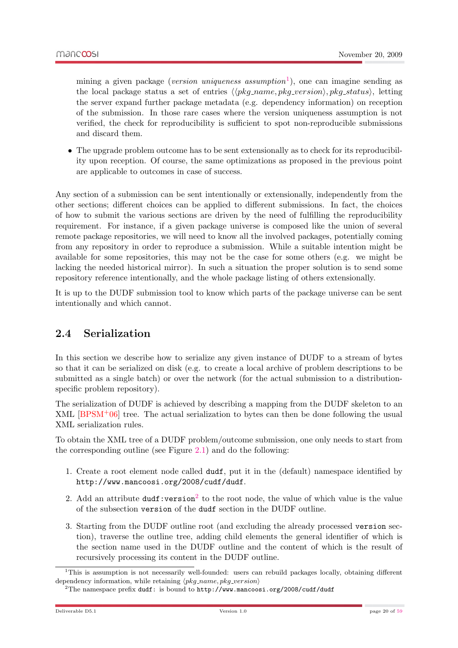mining a given package (version uniqueness assumption<sup>[1](#page-19-1)</sup>), one can imagine sending as the local package status a set of entries  $\langle \langle pkq_name, pkq-version \rangle, pkq-status \rangle$ , letting the server expand further package metadata (e.g. dependency information) on reception of the submission. In those rare cases where the version uniqueness assumption is not verified, the check for reproducibility is sufficient to spot non-reproducible submissions and discard them.

• The upgrade problem outcome has to be sent extensionally as to check for its reproducibility upon reception. Of course, the same optimizations as proposed in the previous point are applicable to outcomes in case of success.

Any section of a submission can be sent intentionally or extensionally, independently from the other sections; different choices can be applied to different submissions. In fact, the choices of how to submit the various sections are driven by the need of fulfilling the reproducibility requirement. For instance, if a given package universe is composed like the union of several remote package repositories, we will need to know all the involved packages, potentially coming from any repository in order to reproduce a submission. While a suitable intention might be available for some repositories, this may not be the case for some others (e.g. we might be lacking the needed historical mirror). In such a situation the proper solution is to send some repository reference intentionally, and the whole package listing of others extensionally.

It is up to the DUDF submission tool to know which parts of the package universe can be sent intentionally and which cannot.

### <span id="page-19-0"></span>2.4 Serialization

In this section we describe how to serialize any given instance of DUDF to a stream of bytes so that it can be serialized on disk (e.g. to create a local archive of problem descriptions to be submitted as a single batch) or over the network (for the actual submission to a distributionspecific problem repository).

The serialization of DUDF is achieved by describing a mapping from the DUDF skeleton to an XML [\[BPSM](#page-58-5)+06] tree. The actual serialization to bytes can then be done following the usual XML serialization rules.

To obtain the XML tree of a DUDF problem/outcome submission, one only needs to start from the corresponding outline (see Figure [2.1\)](#page-17-0) and do the following:

- 1. Create a root element node called dudf, put it in the (default) namespace identified by http://www.mancoosi.org/2008/cudf/dudf.
- [2](#page-19-2). Add an attribute  $dudf:version^2$  to the root node, the value of which value is the value of the subsection version of the dudf section in the DUDF outline.
- 3. Starting from the DUDF outline root (and excluding the already processed version section), traverse the outline tree, adding child elements the general identifier of which is the section name used in the DUDF outline and the content of which is the result of recursively processing its content in the DUDF outline.

<span id="page-19-1"></span><sup>1</sup>This is assumption is not necessarily well-founded: users can rebuild packages locally, obtaining different dependency information, while retaining  $\langle pkg_name, pkg\_version \rangle$ 

<span id="page-19-2"></span><sup>&</sup>lt;sup>2</sup>The namespace prefix dudf: is bound to http://www.mancoosi.org/2008/cudf/dudf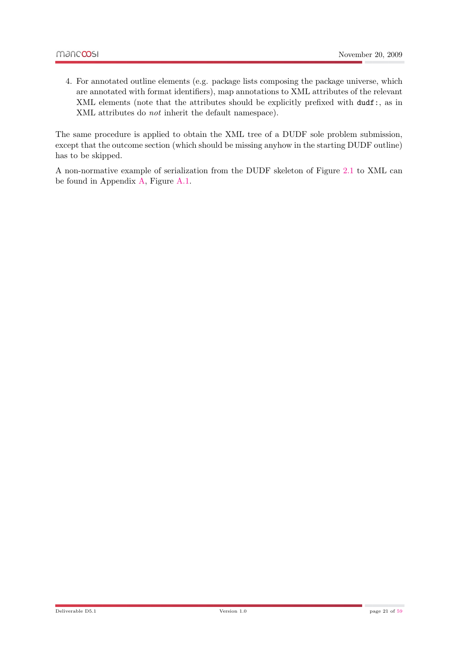4. For annotated outline elements (e.g. package lists composing the package universe, which are annotated with format identifiers), map annotations to XML attributes of the relevant XML elements (note that the attributes should be explicitly prefixed with dudf:, as in XML attributes do not inherit the default namespace).

The same procedure is applied to obtain the XML tree of a DUDF sole problem submission, except that the outcome section (which should be missing anyhow in the starting DUDF outline) has to be skipped.

A non-normative example of serialization from the DUDF skeleton of Figure [2.1](#page-17-0) to XML can be found in Appendix [A,](#page-50-0) Figure [A.1.](#page-51-0)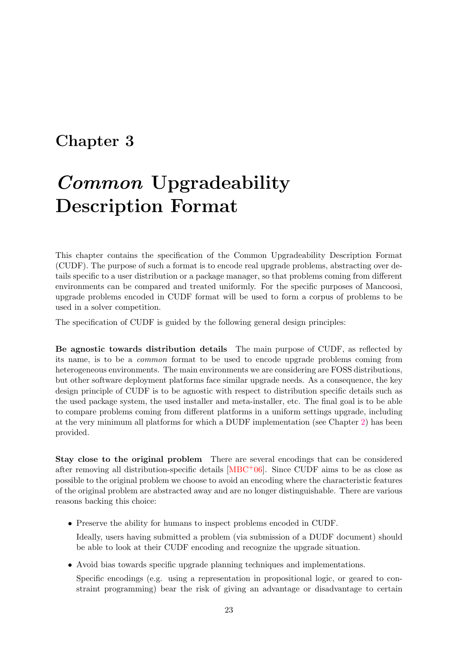## <span id="page-22-0"></span>Chapter 3

# Common Upgradeability Description Format

This chapter contains the specification of the Common Upgradeability Description Format (CUDF). The purpose of such a format is to encode real upgrade problems, abstracting over details specific to a user distribution or a package manager, so that problems coming from different environments can be compared and treated uniformly. For the specific purposes of Mancoosi, upgrade problems encoded in CUDF format will be used to form a corpus of problems to be used in a solver competition.

The specification of CUDF is guided by the following general design principles:

Be agnostic towards distribution details The main purpose of CUDF, as reflected by its name, is to be a common format to be used to encode upgrade problems coming from heterogeneous environments. The main environments we are considering are FOSS distributions, but other software deployment platforms face similar upgrade needs. As a consequence, the key design principle of CUDF is to be agnostic with respect to distribution specific details such as the used package system, the used installer and meta-installer, etc. The final goal is to be able to compare problems coming from different platforms in a uniform settings upgrade, including at the very minimum all platforms for which a DUDF implementation (see Chapter [2\)](#page-14-0) has been provided.

Stay close to the original problem There are several encodings that can be considered after removing all distribution-specific details  $[MBC<sup>+</sup>06]$  $[MBC<sup>+</sup>06]$ . Since CUDF aims to be as close as possible to the original problem we choose to avoid an encoding where the characteristic features of the original problem are abstracted away and are no longer distinguishable. There are various reasons backing this choice:

• Preserve the ability for humans to inspect problems encoded in CUDF.

Ideally, users having submitted a problem (via submission of a DUDF document) should be able to look at their CUDF encoding and recognize the upgrade situation.

• Avoid bias towards specific upgrade planning techniques and implementations.

Specific encodings (e.g. using a representation in propositional logic, or geared to constraint programming) bear the risk of giving an advantage or disadvantage to certain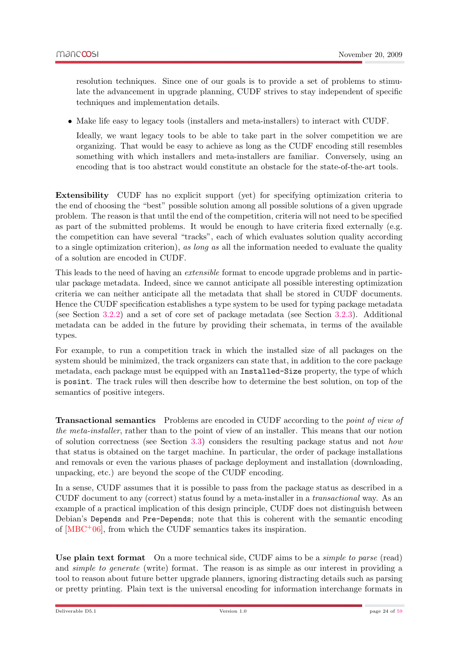resolution techniques. Since one of our goals is to provide a set of problems to stimulate the advancement in upgrade planning, CUDF strives to stay independent of specific techniques and implementation details.

• Make life easy to legacy tools (installers and meta-installers) to interact with CUDF.

Ideally, we want legacy tools to be able to take part in the solver competition we are organizing. That would be easy to achieve as long as the CUDF encoding still resembles something with which installers and meta-installers are familiar. Conversely, using an encoding that is too abstract would constitute an obstacle for the state-of-the-art tools.

Extensibility CUDF has no explicit support (yet) for specifying optimization criteria to the end of choosing the "best" possible solution among all possible solutions of a given upgrade problem. The reason is that until the end of the competition, criteria will not need to be specified as part of the submitted problems. It would be enough to have criteria fixed externally (e.g. the competition can have several "tracks", each of which evaluates solution quality according to a single optimization criterion), as long as all the information needed to evaluate the quality of a solution are encoded in CUDF.

This leads to the need of having an *extensible* format to encode upgrade problems and in particular package metadata. Indeed, since we cannot anticipate all possible interesting optimization criteria we can neither anticipate all the metadata that shall be stored in CUDF documents. Hence the CUDF specification establishes a type system to be used for typing package metadata (see Section [3.2.2\)](#page-29-0) and a set of core set of package metadata (see Section [3.2.3\)](#page-34-0). Additional metadata can be added in the future by providing their schemata, in terms of the available types.

For example, to run a competition track in which the installed size of all packages on the system should be minimized, the track organizers can state that, in addition to the core package metadata, each package must be equipped with an Installed-Size property, the type of which is posint. The track rules will then describe how to determine the best solution, on top of the semantics of positive integers.

Transactional semantics Problems are encoded in CUDF according to the point of view of the meta-installer, rather than to the point of view of an installer. This means that our notion of solution correctness (see Section [3.3\)](#page-38-0) considers the resulting package status and not how that status is obtained on the target machine. In particular, the order of package installations and removals or even the various phases of package deployment and installation (downloading, unpacking, etc.) are beyond the scope of the CUDF encoding.

In a sense, CUDF assumes that it is possible to pass from the package status as described in a CUDF document to any (correct) status found by a meta-installer in a transactional way. As an example of a practical implication of this design principle, CUDF does not distinguish between Debian's Depends and Pre-Depends; note that this is coherent with the semantic encoding of [\[MBC](#page-58-6)+06], from which the CUDF semantics takes its inspiration.

Use plain text format On a more technical side, CUDF aims to be a *simple to parse* (read) and *simple to generate* (write) format. The reason is as simple as our interest in providing a tool to reason about future better upgrade planners, ignoring distracting details such as parsing or pretty printing. Plain text is the universal encoding for information interchange formats in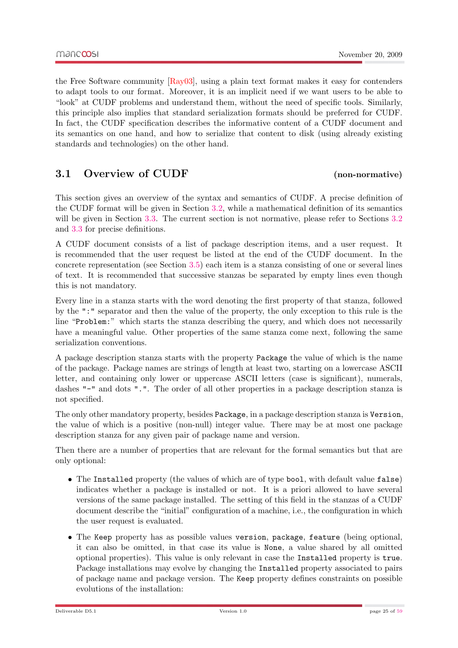the Free Software community  $\left[\text{Ray03}\right]$ , using a plain text format makes it easy for contenders to adapt tools to our format. Moreover, it is an implicit need if we want users to be able to "look" at CUDF problems and understand them, without the need of specific tools. Similarly, this principle also implies that standard serialization formats should be preferred for CUDF. In fact, the CUDF specification describes the informative content of a CUDF document and its semantics on one hand, and how to serialize that content to disk (using already existing standards and technologies) on the other hand.

#### <span id="page-24-0"></span>3.1 Overview of CUDF (non-normative)

This section gives an overview of the syntax and semantics of CUDF. A precise definition of the CUDF format will be given in Section [3.2,](#page-26-0) while a mathematical definition of its semantics will be given in Section [3.3.](#page-38-0) The current section is not normative, please refer to Sections [3.2](#page-26-0) and [3.3](#page-38-0) for precise definitions.

A CUDF document consists of a list of package description items, and a user request. It is recommended that the user request be listed at the end of the CUDF document. In the concrete representation (see Section [3.5\)](#page-44-0) each item is a stanza consisting of one or several lines of text. It is recommended that successive stanzas be separated by empty lines even though this is not mandatory.

Every line in a stanza starts with the word denoting the first property of that stanza, followed by the ":" separator and then the value of the property, the only exception to this rule is the line "Problem:" which starts the stanza describing the query, and which does not necessarily have a meaningful value. Other properties of the same stanza come next, following the same serialization conventions.

A package description stanza starts with the property Package the value of which is the name of the package. Package names are strings of length at least two, starting on a lowercase ASCII letter, and containing only lower or uppercase ASCII letters (case is significant), numerals, dashes "-" and dots ".". The order of all other properties in a package description stanza is not specified.

The only other mandatory property, besides Package, in a package description stanza is Version, the value of which is a positive (non-null) integer value. There may be at most one package description stanza for any given pair of package name and version.

Then there are a number of properties that are relevant for the formal semantics but that are only optional:

- The Installed property (the values of which are of type bool, with default value false) indicates whether a package is installed or not. It is a priori allowed to have several versions of the same package installed. The setting of this field in the stanzas of a CUDF document describe the "initial" configuration of a machine, i.e., the configuration in which the user request is evaluated.
- The Keep property has as possible values version, package, feature (being optional, it can also be omitted, in that case its value is None, a value shared by all omitted optional properties). This value is only relevant in case the Installed property is true. Package installations may evolve by changing the Installed property associated to pairs of package name and package version. The Keep property defines constraints on possible evolutions of the installation: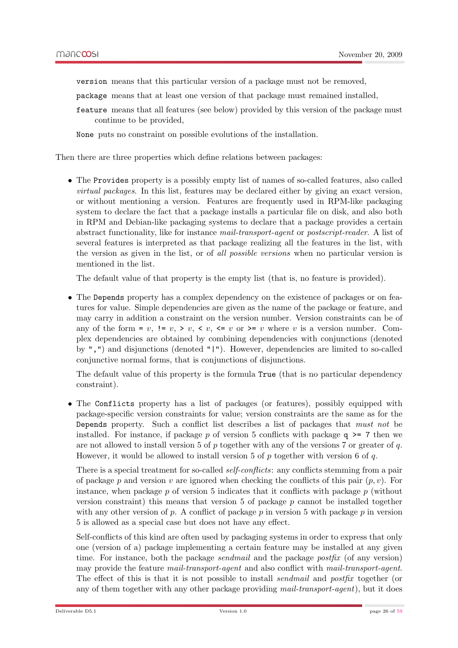version means that this particular version of a package must not be removed,

- package means that at least one version of that package must remained installed,
- feature means that all features (see below) provided by this version of the package must continue to be provided,

None puts no constraint on possible evolutions of the installation.

Then there are three properties which define relations between packages:

• The Provides property is a possibly empty list of names of so-called features, also called virtual packages. In this list, features may be declared either by giving an exact version, or without mentioning a version. Features are frequently used in RPM-like packaging system to declare the fact that a package installs a particular file on disk, and also both in RPM and Debian-like packaging systems to declare that a package provides a certain abstract functionality, like for instance mail-transport-agent or postscript-reader. A list of several features is interpreted as that package realizing all the features in the list, with the version as given in the list, or of all possible versions when no particular version is mentioned in the list.

The default value of that property is the empty list (that is, no feature is provided).

• The Depends property has a complex dependency on the existence of packages or on features for value. Simple dependencies are given as the name of the package or feature, and may carry in addition a constraint on the version number. Version constraints can be of any of the form = v,  $!= v, > v, < v, < v, == v$  or  $>= v$  where v is a version number. Complex dependencies are obtained by combining dependencies with conjunctions (denoted by ",") and disjunctions (denoted "|"). However, dependencies are limited to so-called conjunctive normal forms, that is conjunctions of disjunctions.

The default value of this property is the formula True (that is no particular dependency constraint).

• The Conflicts property has a list of packages (or features), possibly equipped with package-specific version constraints for value; version constraints are the same as for the Depends property. Such a conflict list describes a list of packages that must not be installed. For instance, if package p of version 5 conflicts with package  $q \geq 7$  then we are not allowed to install version 5 of  $p$  together with any of the versions 7 or greater of  $q$ . However, it would be allowed to install version 5 of p together with version 6 of q.

There is a special treatment for so-called *self-conflicts*: any conflicts stemming from a pair of package p and version v are ignored when checking the conflicts of this pair  $(p, v)$ . For instance, when package  $p$  of version 5 indicates that it conflicts with package  $p$  (without version constraint) this means that version  $5$  of package  $p$  cannot be installed together with any other version of  $p$ . A conflict of package  $p$  in version 5 with package  $p$  in version 5 is allowed as a special case but does not have any effect.

Self-conflicts of this kind are often used by packaging systems in order to express that only one (version of a) package implementing a certain feature may be installed at any given time. For instance, both the package *sendmail* and the package *postfix* (of any version) may provide the feature mail-transport-agent and also conflict with mail-transport-agent. The effect of this is that it is not possible to install *sendmail* and *postfix* together (or any of them together with any other package providing mail-transport-agent), but it does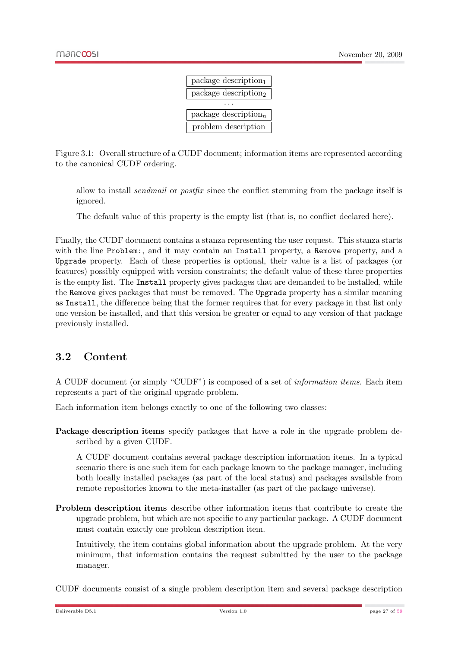

<span id="page-26-1"></span>Figure 3.1: Overall structure of a CUDF document; information items are represented according to the canonical CUDF ordering.

allow to install sendmail or postfix since the conflict stemming from the package itself is ignored.

The default value of this property is the empty list (that is, no conflict declared here).

Finally, the CUDF document contains a stanza representing the user request. This stanza starts with the line Problem:, and it may contain an Install property, a Remove property, and a Upgrade property. Each of these properties is optional, their value is a list of packages (or features) possibly equipped with version constraints; the default value of these three properties is the empty list. The Install property gives packages that are demanded to be installed, while the Remove gives packages that must be removed. The Upgrade property has a similar meaning as Install, the difference being that the former requires that for every package in that list only one version be installed, and that this version be greater or equal to any version of that package previously installed.

#### <span id="page-26-0"></span>3.2 Content

A CUDF document (or simply "CUDF") is composed of a set of information items. Each item represents a part of the original upgrade problem.

Each information item belongs exactly to one of the following two classes:

Package description items specify packages that have a role in the upgrade problem described by a given CUDF.

A CUDF document contains several package description information items. In a typical scenario there is one such item for each package known to the package manager, including both locally installed packages (as part of the local status) and packages available from remote repositories known to the meta-installer (as part of the package universe).

Problem description items describe other information items that contribute to create the upgrade problem, but which are not specific to any particular package. A CUDF document must contain exactly one problem description item.

Intuitively, the item contains global information about the upgrade problem. At the very minimum, that information contains the request submitted by the user to the package manager.

CUDF documents consist of a single problem description item and several package description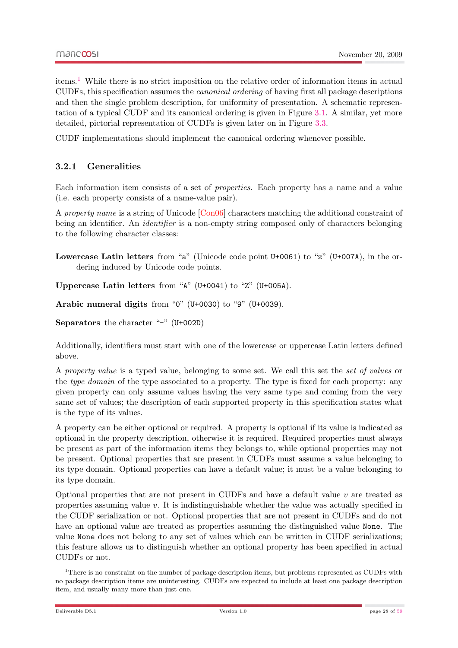items.[1](#page-27-1) While there is no strict imposition on the relative order of information items in actual CUDFs, this specification assumes the canonical ordering of having first all package descriptions and then the single problem description, for uniformity of presentation. A schematic representation of a typical CUDF and its canonical ordering is given in Figure [3.1.](#page-26-1) A similar, yet more detailed, pictorial representation of CUDFs is given later on in Figure [3.3.](#page-37-2)

CUDF implementations should implement the canonical ordering whenever possible.

#### <span id="page-27-0"></span>3.2.1 Generalities

Each information item consists of a set of properties. Each property has a name and a value (i.e. each property consists of a name-value pair).

A property name is a string of Unicode [\[Con06\]](#page-58-8) characters matching the additional constraint of being an identifier. An *identifier* is a non-empty string composed only of characters belonging to the following character classes:

Lowercase Latin letters from "a" (Unicode code point  $U+0061$ ) to "z" (U+007A), in the ordering induced by Unicode code points.

Uppercase Latin letters from "A" (U+0041) to "Z" (U+005A).

Arabic numeral digits from "0" (U+0030) to "9" (U+0039).

Separators the character "-" (U+002D)

Additionally, identifiers must start with one of the lowercase or uppercase Latin letters defined above.

A property value is a typed value, belonging to some set. We call this set the set of values or the *type domain* of the type associated to a property. The type is fixed for each property: any given property can only assume values having the very same type and coming from the very same set of values; the description of each supported property in this specification states what is the type of its values.

A property can be either optional or required. A property is optional if its value is indicated as optional in the property description, otherwise it is required. Required properties must always be present as part of the information items they belongs to, while optional properties may not be present. Optional properties that are present in CUDFs must assume a value belonging to its type domain. Optional properties can have a default value; it must be a value belonging to its type domain.

Optional properties that are not present in CUDFs and have a default value v are treated as properties assuming value  $v$ . It is indistinguishable whether the value was actually specified in the CUDF serialization or not. Optional properties that are not present in CUDFs and do not have an optional value are treated as properties assuming the distinguished value None. The value None does not belong to any set of values which can be written in CUDF serializations; this feature allows us to distinguish whether an optional property has been specified in actual CUDFs or not.

<span id="page-27-1"></span><sup>&</sup>lt;sup>1</sup>There is no constraint on the number of package description items, but problems represented as CUDFs with no package description items are uninteresting. CUDFs are expected to include at least one package description item, and usually many more than just one.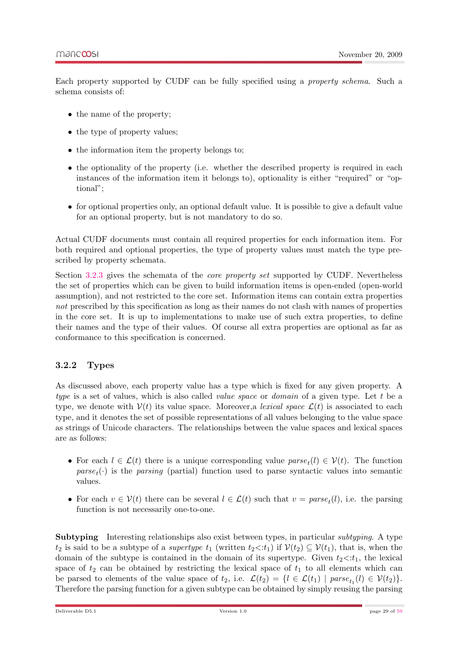Each property supported by CUDF can be fully specified using a property schema. Such a schema consists of:

- the name of the property;
- the type of property values;
- the information item the property belongs to;
- the optionality of the property (i.e. whether the described property is required in each instances of the information item it belongs to), optionality is either "required" or "optional";
- for optional properties only, an optional default value. It is possible to give a default value for an optional property, but is not mandatory to do so.

Actual CUDF documents must contain all required properties for each information item. For both required and optional properties, the type of property values must match the type prescribed by property schemata.

Section [3.2.3](#page-34-0) gives the schemata of the core property set supported by CUDF. Nevertheless the set of properties which can be given to build information items is open-ended (open-world assumption), and not restricted to the core set. Information items can contain extra properties not prescribed by this specification as long as their names do not clash with names of properties in the core set. It is up to implementations to make use of such extra properties, to define their names and the type of their values. Of course all extra properties are optional as far as conformance to this specification is concerned.

#### <span id="page-28-0"></span>3.2.2 Types

As discussed above, each property value has a type which is fixed for any given property. A type is a set of values, which is also called *value space* or *domain* of a given type. Let t be a type, we denote with  $V(t)$  its value space. Moreover, a lexical space  $\mathcal{L}(t)$  is associated to each type, and it denotes the set of possible representations of all values belonging to the value space as strings of Unicode characters. The relationships between the value spaces and lexical spaces are as follows:

- For each  $l \in \mathcal{L}(t)$  there is a unique corresponding value  $parse_t(l) \in \mathcal{V}(t)$ . The function  $parse<sub>t</sub>(.)$  is the parsing (partial) function used to parse syntactic values into semantic values.
- For each  $v \in V(t)$  there can be several  $l \in \mathcal{L}(t)$  such that  $v = parse<sub>t</sub>(l)$ , i.e. the parsing function is not necessarily one-to-one.

Subtyping Interesting relationships also exist between types, in particular *subtyping*. A type  $t_2$  is said to be a subtype of a *supertype*  $t_1$  (written  $t_2 \lt t_1$ ) if  $V(t_2) \subseteq V(t_1)$ , that is, when the domain of the subtype is contained in the domain of its supertype. Given  $t_2 \lt t_1$ , the lexical space of  $t_2$  can be obtained by restricting the lexical space of  $t_1$  to all elements which can be parsed to elements of the value space of  $t_2$ , i.e.  $\mathcal{L}(t_2) = \{l \in \mathcal{L}(t_1) \mid parse_{t_1}(l) \in \mathcal{V}(t_2)\}.$ Therefore the parsing function for a given subtype can be obtained by simply reusing the parsing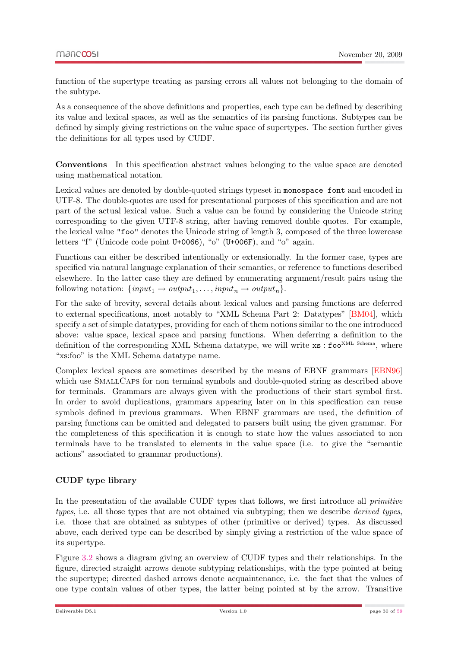function of the supertype treating as parsing errors all values not belonging to the domain of the subtype.

As a consequence of the above definitions and properties, each type can be defined by describing its value and lexical spaces, as well as the semantics of its parsing functions. Subtypes can be defined by simply giving restrictions on the value space of supertypes. The section further gives the definitions for all types used by CUDF.

Conventions In this specification abstract values belonging to the value space are denoted using mathematical notation.

Lexical values are denoted by double-quoted strings typeset in monospace font and encoded in UTF-8. The double-quotes are used for presentational purposes of this specification and are not part of the actual lexical value. Such a value can be found by considering the Unicode string corresponding to the given UTF-8 string, after having removed double quotes. For example, the lexical value "foo" denotes the Unicode string of length 3, composed of the three lowercase letters "f" (Unicode code point U+0066), "o" (U+006F), and "o" again.

Functions can either be described intentionally or extensionally. In the former case, types are specified via natural language explanation of their semantics, or reference to functions described elsewhere. In the latter case they are defined by enumerating argument/result pairs using the following notation:  $\{input_1 \rightarrow output_1, \ldots, input_n \rightarrow output_n\}.$ 

For the sake of brevity, several details about lexical values and parsing functions are deferred to external specifications, most notably to "XML Schema Part 2: Datatypes" [\[BM04\]](#page-58-9), which specify a set of simple datatypes, providing for each of them notions similar to the one introduced above: value space, lexical space and parsing functions. When deferring a definition to the definition of the corresponding XML Schema datatype, we will write  $xs : f \circ \sigma^{xML \text{ Schema}}$ , where "xs:foo" is the XML Schema datatype name.

Complex lexical spaces are sometimes described by the means of EBNF grammars [\[EBN96\]](#page-58-10) which use SMALLCAPS for non terminal symbols and double-quoted string as described above for terminals. Grammars are always given with the productions of their start symbol first. In order to avoid duplications, grammars appearing later on in this specification can reuse symbols defined in previous grammars. When EBNF grammars are used, the definition of parsing functions can be omitted and delegated to parsers built using the given grammar. For the completeness of this specification it is enough to state how the values associated to non terminals have to be translated to elements in the value space (i.e. to give the "semantic actions" associated to grammar productions).

#### CUDF type library

<span id="page-29-0"></span>In the presentation of the available CUDF types that follows, we first introduce all *primitive* types, i.e. all those types that are not obtained via subtyping; then we describe derived types, i.e. those that are obtained as subtypes of other (primitive or derived) types. As discussed above, each derived type can be described by simply giving a restriction of the value space of its supertype.

Figure [3.2](#page-30-0) shows a diagram giving an overview of CUDF types and their relationships. In the figure, directed straight arrows denote subtyping relationships, with the type pointed at being the supertype; directed dashed arrows denote acquaintenance, i.e. the fact that the values of one type contain values of other types, the latter being pointed at by the arrow. Transitive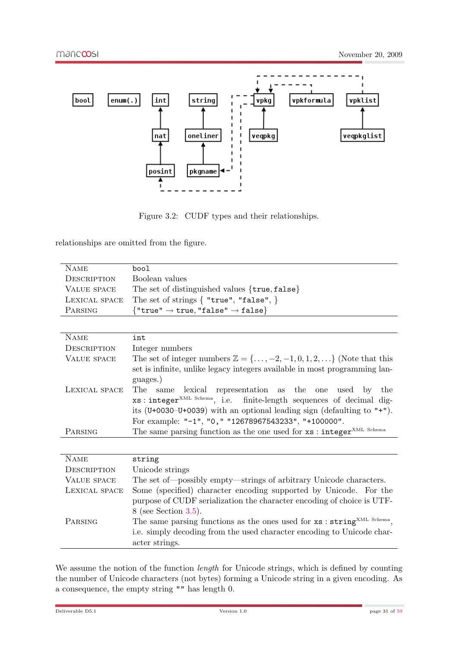

<span id="page-30-0"></span>Figure 3.2: CUDF types and their relationships.

relationships are omitted from the figure.

| <b>NAME</b>        | bool                                                                                                                                                                                                                                                                                                                                                                                                                                               |
|--------------------|----------------------------------------------------------------------------------------------------------------------------------------------------------------------------------------------------------------------------------------------------------------------------------------------------------------------------------------------------------------------------------------------------------------------------------------------------|
|                    |                                                                                                                                                                                                                                                                                                                                                                                                                                                    |
| DESCRIPTION        | Boolean values                                                                                                                                                                                                                                                                                                                                                                                                                                     |
| <b>VALUE SPACE</b> | The set of distinguished values {true, false}                                                                                                                                                                                                                                                                                                                                                                                                      |
| LEXICAL SPACE      | The set of strings $\{$ "true", "false", $\}$                                                                                                                                                                                                                                                                                                                                                                                                      |
| PARSING            | ${$ "true" $\rightarrow$ true, "false" $\rightarrow$ false $}$                                                                                                                                                                                                                                                                                                                                                                                     |
|                    |                                                                                                                                                                                                                                                                                                                                                                                                                                                    |
| <b>NAME</b>        | int                                                                                                                                                                                                                                                                                                                                                                                                                                                |
| DESCRIPTION        | Integer numbers                                                                                                                                                                                                                                                                                                                                                                                                                                    |
| <b>VALUE SPACE</b> | The set of integer numbers $\mathbb{Z} = \{\ldots, -2, -1, 0, 1, 2, \ldots\}$ (Note that this                                                                                                                                                                                                                                                                                                                                                      |
|                    | set is infinite, unlike legacy integers available in most programming lan-                                                                                                                                                                                                                                                                                                                                                                         |
|                    |                                                                                                                                                                                                                                                                                                                                                                                                                                                    |
| LEXICAL SPACE      | The<br>same                                                                                                                                                                                                                                                                                                                                                                                                                                        |
|                    |                                                                                                                                                                                                                                                                                                                                                                                                                                                    |
|                    |                                                                                                                                                                                                                                                                                                                                                                                                                                                    |
|                    |                                                                                                                                                                                                                                                                                                                                                                                                                                                    |
|                    |                                                                                                                                                                                                                                                                                                                                                                                                                                                    |
|                    |                                                                                                                                                                                                                                                                                                                                                                                                                                                    |
|                    |                                                                                                                                                                                                                                                                                                                                                                                                                                                    |
| <b>NAME</b>        | string                                                                                                                                                                                                                                                                                                                                                                                                                                             |
| DESCRIPTION        | Unicode strings                                                                                                                                                                                                                                                                                                                                                                                                                                    |
| <b>VALUE SPACE</b> | The set of—possibly empty—strings of arbitrary Unicode characters.                                                                                                                                                                                                                                                                                                                                                                                 |
| LEXICAL SPACE      | Some (specified) character encoding supported by Unicode. For the                                                                                                                                                                                                                                                                                                                                                                                  |
|                    | purpose of CUDF serialization the character encoding of choice is UTF-                                                                                                                                                                                                                                                                                                                                                                             |
|                    | $8$ (see Section 3.5).                                                                                                                                                                                                                                                                                                                                                                                                                             |
| PARSING            |                                                                                                                                                                                                                                                                                                                                                                                                                                                    |
|                    | i.e. simply decoding from the used character encoding to Unicode char-                                                                                                                                                                                                                                                                                                                                                                             |
|                    | acter strings.                                                                                                                                                                                                                                                                                                                                                                                                                                     |
| PARSING            | guages.)<br>lexical representation as the one used by the<br>xs: integer <sup>XML Schema</sup> , i.e. finite-length sequences of decimal dig-<br>its (U+0030–U+0039) with an optional leading sign (defaulting to "+").<br>For example: "-1", "0," "12678967543233", "+100000".<br>The same parsing function as the one used for $xs:integer^{XML\ Schema}$<br>The same parsing functions as the ones used for xs : string <sup>XML Schema</sup> , |

We assume the notion of the function *length* for Unicode strings, which is defined by counting the number of Unicode characters (not bytes) forming a Unicode string in a given encoding. As a consequence, the empty string "" has length 0.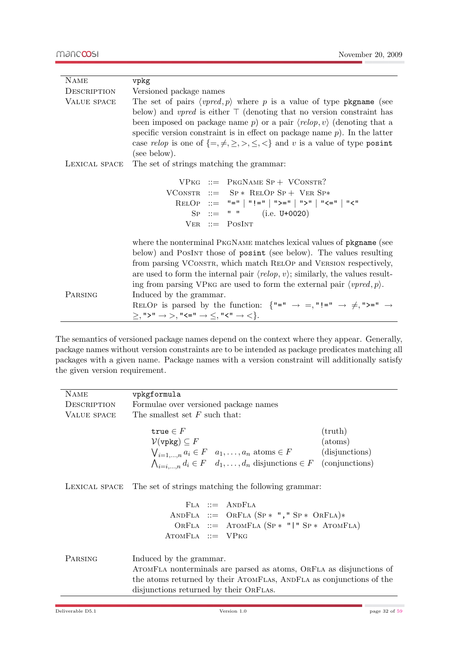| <b>NAME</b>   | vpkg                                                                                                                                                                               |
|---------------|------------------------------------------------------------------------------------------------------------------------------------------------------------------------------------|
| DESCRIPTION   | Versioned package names                                                                                                                                                            |
| VALUE SPACE   | The set of pairs $\langle vpred, p \rangle$ where p is a value of type pkgname (see                                                                                                |
|               | below) and <i>vpred</i> is either $\top$ (denoting that no version constraint has                                                                                                  |
|               | been imposed on package name p or a pair $\langle relop, v \rangle$ (denoting that a                                                                                               |
|               | specific version constraint is in effect on package name $p$ ). In the latter                                                                                                      |
|               | case <i>relop</i> is one of $\{=\neq,\geq,>,\leq,\leq\}$ and v is a value of type <b>posint</b>                                                                                    |
|               | (see below).                                                                                                                                                                       |
| LEXICAL SPACE | The set of strings matching the grammar:                                                                                                                                           |
|               | $VPKG ::= PKGNAME SP + VConsTR?$                                                                                                                                                   |
|               | VCONSTR ::= $SP * RELOP SP + VER SP*$                                                                                                                                              |
|               | RELOP ::= "="   "!="   ">="   ">"   "<="   "<"                                                                                                                                     |
|               | $SP ::= " " " (i.e. U+0020)$                                                                                                                                                       |
|               | $VER ::= PosINT$                                                                                                                                                                   |
|               | where the nonterminal PKGNAME matches lexical values of pkgname (see                                                                                                               |
|               | below) and PosINT those of posint (see below). The values resulting                                                                                                                |
|               | from parsing VConstra, which match RELOP and VERSION respectively,                                                                                                                 |
|               | are used to form the internal pair $\langle$ <i>relop</i> , <i>v</i> $\rangle$ ; similarly, the values result-                                                                     |
|               | ing from parsing VPKG are used to form the external pair $\langle vpred, p \rangle$ .                                                                                              |
| PARSING       | Induced by the grammar.                                                                                                                                                            |
|               | RELOP is parsed by the function: $\{ \blacksquare = \blacksquare \rightarrow \equiv, \blacksquare \} = \blacksquare \rightarrow \neq, \blacksquare \succ \blacksquare \rightarrow$ |
|               | $\geq,$ ">" $\rightarrow$ >, "<=" $\rightarrow \leq,$ "<" $\rightarrow$ <}.                                                                                                        |

The semantics of versioned package names depend on the context where they appear. Generally, package names without version constraints are to be intended as package predicates matching all packages with a given name. Package names with a version constraint will additionally satisfy the given version requirement.

| <b>NAME</b>   | vpkgformula                                                                                                                                                                                                                                                                         |
|---------------|-------------------------------------------------------------------------------------------------------------------------------------------------------------------------------------------------------------------------------------------------------------------------------------|
| DESCRIPTION   | Formulae over versioned package names                                                                                                                                                                                                                                               |
| VALUE SPACE   | The smallest set $F$ such that:                                                                                                                                                                                                                                                     |
|               | true $\in F$<br>$(\text{truth})$<br>$\mathcal{V}(\text{vpkg}) \subseteq F$<br>(atoms)<br>$\bigvee_{i=1,\dots,n} a_i \in F \quad a_1,\dots,a_n \text{ atoms} \in F$<br>(disjunctions)<br>$\bigwedge_{i=i,\dots,n} d_i \in F \quad d_1,\dots,d_n$ disjunctions $\in F$ (conjunctions) |
| LEXICAL SPACE | The set of strings matching the following grammar:                                                                                                                                                                                                                                  |
|               | $FLA :: = ANDFLA$<br>ANDFLA ::= ORFLA $(SP * " , " SP * ORFLA) *$                                                                                                                                                                                                                   |
|               | ORFLA ::= ATOMFLA $(SP * "   " SP * A TOMFLA)$                                                                                                                                                                                                                                      |
|               | $ATOMFLA ::= VPKG$                                                                                                                                                                                                                                                                  |
| PARSING       | Induced by the grammar.<br>ATOMFLA nonterminals are parsed as atoms, ORFLA as disjunctions of<br>the atoms returned by their ATOMFLAS, ANDFLA as conjunctions of the<br>disjunctions returned by their ORFLAS.                                                                      |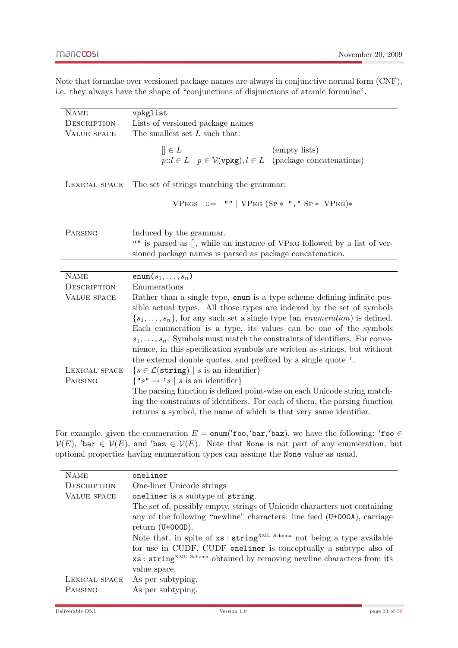Note that formulae over versioned package names are always in conjunctive normal form (CNF), i.e. they always have the shape of "conjunctions of disjunctions of atomic formulae".

| <b>NAME</b>        | vpkglist                                                                                                                                                                                                                                                                                                                                                                                                                                                                                                                                                 |
|--------------------|----------------------------------------------------------------------------------------------------------------------------------------------------------------------------------------------------------------------------------------------------------------------------------------------------------------------------------------------------------------------------------------------------------------------------------------------------------------------------------------------------------------------------------------------------------|
| DESCRIPTION        | Lists of versioned package names                                                                                                                                                                                                                                                                                                                                                                                                                                                                                                                         |
| <b>VALUE SPACE</b> | The smallest set $L$ such that:                                                                                                                                                                                                                                                                                                                                                                                                                                                                                                                          |
|                    | $\parallel \in L$<br>(empty lists)<br>$p::l \in L$ $p \in \mathcal{V}(\text{vpkg}), l \in L$ (package concatenations)                                                                                                                                                                                                                                                                                                                                                                                                                                    |
| LEXICAL SPACE      | The set of strings matching the grammar:                                                                                                                                                                                                                                                                                                                                                                                                                                                                                                                 |
|                    | VPKGS ::= ""   VPKG $(SP * " , " SP * VPKG)*$                                                                                                                                                                                                                                                                                                                                                                                                                                                                                                            |
| PARSING            | Induced by the grammar.<br>"" is parsed as [], while an instance of VPKG followed by a list of ver-<br>sioned package names is parsed as package concatenation.                                                                                                                                                                                                                                                                                                                                                                                          |
|                    |                                                                                                                                                                                                                                                                                                                                                                                                                                                                                                                                                          |
| <b>NAME</b>        | enum $(s_1, \ldots, s_n)$                                                                                                                                                                                                                                                                                                                                                                                                                                                                                                                                |
| DESCRIPTION        | Enumerations                                                                                                                                                                                                                                                                                                                                                                                                                                                                                                                                             |
| VALUE SPACE        | Rather than a single type, enum is a type scheme defining infinite pos-<br>sible actual types. All those types are indexed by the set of symbols<br>$\{s_1, \ldots, s_n\}$ , for any such set a single type (an <i>enumeration</i> ) is defined.<br>Each enumeration is a type, its values can be one of the symbols<br>$s_1, \ldots, s_n$ . Symbols must match the constraints of identifiers. For conve-<br>nience, in this specification symbols are written as strings, but without<br>the external double quotes, and prefixed by a single quote '. |
| LEXICAL SPACE      | $\{s \in \mathcal{L}(\text{string}) \mid s \text{ is an identifier}\}\$                                                                                                                                                                                                                                                                                                                                                                                                                                                                                  |
| PARSING            | $\{ "s" \rightarrow 's \mid s \text{ is an identifier} \}$                                                                                                                                                                                                                                                                                                                                                                                                                                                                                               |
|                    | The parsing function is defined point-wise on each Unicode string match-<br>ing the constraints of identifiers. For each of them, the parsing function<br>returns a symbol, the name of which is that very same identifier.                                                                                                                                                                                                                                                                                                                              |

For example, given the enumeration  $E = \text{enum}('foo, 'bar, 'baz)$ , we have the following: 'foo  $\in$  $V(E)$ , 'bar  $\in V(E)$ , and 'baz  $\in V(E)$ . Note that None is not part of any enumeration, but optional properties having enumeration types can assume the None value as usual.

| <b>NAME</b>        | oneliner                                                                            |
|--------------------|-------------------------------------------------------------------------------------|
| <b>DESCRIPTION</b> | One-liner Unicode strings                                                           |
| VALUE SPACE        | oneliner is a subtype of string.                                                    |
|                    | The set of, possibly empty, strings of Unicode characters not containing            |
|                    | any of the following "newline" characters: line feed (U+000A), carriage             |
|                    | return $(U+000D)$ .                                                                 |
|                    | Note that, in spite of xs : string <sup>XML Schema</sup> not being a type available |
|                    | for use in CUDF, CUDF oneliner is conceptually a subtype also of                    |
|                    | xs: string <sup>XML Schema</sup> obtained by removing newline characters from its   |
|                    | value space.                                                                        |
| LEXICAL SPACE      | As per subtyping.                                                                   |
| PARSING            | As per subtyping.                                                                   |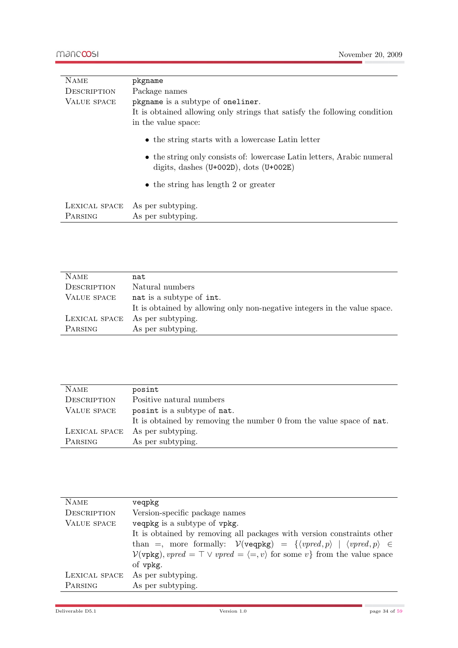| <b>NAME</b>        | pkgname                                                                                                               |
|--------------------|-----------------------------------------------------------------------------------------------------------------------|
| <b>DESCRIPTION</b> | Package names                                                                                                         |
| VALUE SPACE        | pkgname is a subtype of oneliner.                                                                                     |
|                    | It is obtained allowing only strings that satisfy the following condition                                             |
|                    | in the value space:                                                                                                   |
|                    | • the string starts with a lowercase Latin letter                                                                     |
|                    | • the string only consists of: lowercase Latin letters, Arabic numeral<br>digits, dashes $(U+002D)$ , dots $(U+002E)$ |
|                    | $\bullet$ the string has length 2 or greater                                                                          |
|                    | LEXICAL SPACE As per subtyping.                                                                                       |
| PARSING            | As per subtyping.                                                                                                     |

| <b>NAME</b>        | nat                                                                       |
|--------------------|---------------------------------------------------------------------------|
| <b>DESCRIPTION</b> | Natural numbers                                                           |
| VALUE SPACE        | nat is a subtype of int.                                                  |
|                    | It is obtained by allowing only non-negative integers in the value space. |
| LEXICAL SPACE      | As per subtyping.                                                         |
| PARSING            | As per subtyping.                                                         |

| <b>NAME</b>        | posint                                                               |
|--------------------|----------------------------------------------------------------------|
| <b>DESCRIPTION</b> | Positive natural numbers                                             |
| VALUE SPACE        | posint is a subtype of nat.                                          |
|                    | It is obtained by removing the number 0 from the value space of nat. |
| LEXICAL SPACE      | As per subtyping.                                                    |
| PARSING            | As per subtyping.                                                    |

| <b>NAME</b>        | veqpkg                                                                                                                               |  |  |
|--------------------|--------------------------------------------------------------------------------------------------------------------------------------|--|--|
| <b>DESCRIPTION</b> | Version-specific package names                                                                                                       |  |  |
| <b>VALUE SPACE</b> | veqpkg is a subtype of vpkg.                                                                                                         |  |  |
|                    | It is obtained by removing all packages with version constraints other                                                               |  |  |
|                    | than =, more formally: $V(\text{veapkg}) = \{ \langle v \rangle \mid \langle v \rangle \in \emptyset, p \rangle \in \emptyset, p \}$ |  |  |
|                    | $\mathcal{V}(v \text{pkg})$ , $vpred = \top \vee vpred = \langle =, v \rangle$ for some $v$ } from the value space                   |  |  |
|                    | of vpkg.                                                                                                                             |  |  |
| LEXICAL SPACE      | As per subtyping.                                                                                                                    |  |  |
| PARSING            | As per subtyping.                                                                                                                    |  |  |
|                    |                                                                                                                                      |  |  |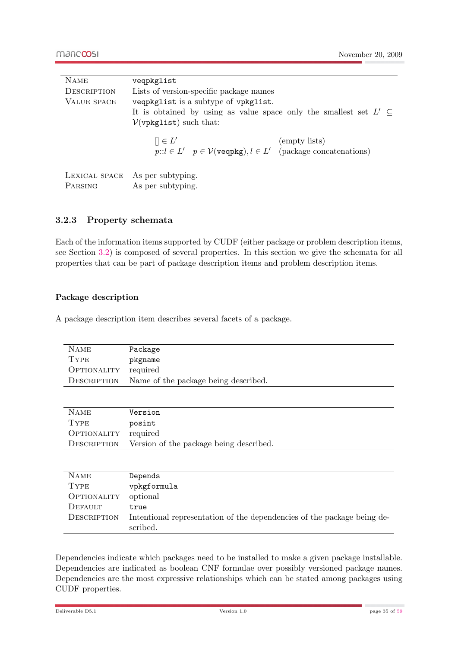| <b>NAME</b>        | veqpkglist                                                                  |  |  |
|--------------------|-----------------------------------------------------------------------------|--|--|
| <b>DESCRIPTION</b> | Lists of version-specific package names                                     |  |  |
| VALUE SPACE        | veqpkglist is a subtype of vpkglist.                                        |  |  |
|                    | It is obtained by using as value space only the smallest set $L' \subseteq$ |  |  |
|                    | $\mathcal{V}(\text{vpkglist})$ such that:                                   |  |  |
|                    | $\mathcal{C} \in L'$<br>(empty lists)                                       |  |  |
|                    | $p::l \in L'$ $p \in V(\text{veapkg}), l \in L'$ (package concatenations)   |  |  |
|                    |                                                                             |  |  |
| LEXICAL SPACE      | As per subtyping.                                                           |  |  |
| PARSING            | As per subtyping.                                                           |  |  |

#### <span id="page-34-0"></span>3.2.3 Property schemata

Each of the information items supported by CUDF (either package or problem description items, see Section [3.2\)](#page-26-0) is composed of several properties. In this section we give the schemata for all properties that can be part of package description items and problem description items.

#### Package description

<span id="page-34-1"></span>A package description item describes several facets of a package.

| <b>NAME</b>               | Package                                                                             |  |  |  |
|---------------------------|-------------------------------------------------------------------------------------|--|--|--|
| <b>TYPE</b>               | pkgname                                                                             |  |  |  |
| OPTIONALITY               | required                                                                            |  |  |  |
| DESCRIPTION               | Name of the package being described.                                                |  |  |  |
|                           |                                                                                     |  |  |  |
|                           |                                                                                     |  |  |  |
| <b>NAME</b>               | Version                                                                             |  |  |  |
| <b>TYPE</b>               | posint                                                                              |  |  |  |
| <i><b>OPTIONALITY</b></i> | required                                                                            |  |  |  |
| DESCRIPTION               | Version of the package being described.                                             |  |  |  |
|                           |                                                                                     |  |  |  |
|                           |                                                                                     |  |  |  |
| <b>NAME</b>               | Depends                                                                             |  |  |  |
| <b>TYPE</b>               | vpkgformula                                                                         |  |  |  |
| OPTIONALITY               | optional                                                                            |  |  |  |
| DEFAULT                   | true                                                                                |  |  |  |
| DESCRIPTION               | Intentional representation of the dependencies of the package being de-<br>scribed. |  |  |  |

Dependencies indicate which packages need to be installed to make a given package installable. Dependencies are indicated as boolean CNF formulae over possibly versioned package names. Dependencies are the most expressive relationships which can be stated among packages using CUDF properties.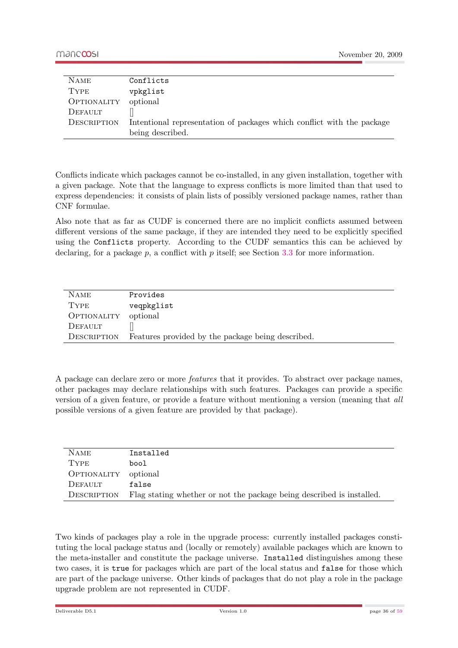| <b>NAME</b> | Conflicts                                                              |
|-------------|------------------------------------------------------------------------|
| <b>TYPE</b> | vpkglist                                                               |
| OPTIONALITY | optional                                                               |
| DEFAULT     |                                                                        |
| DESCRIPTION | Intentional representation of packages which conflict with the package |
|             | being described.                                                       |

Conflicts indicate which packages cannot be co-installed, in any given installation, together with a given package. Note that the language to express conflicts is more limited than that used to express dependencies: it consists of plain lists of possibly versioned package names, rather than CNF formulae.

Also note that as far as CUDF is concerned there are no implicit conflicts assumed between different versions of the same package, if they are intended they need to be explicitly specified using the Conflicts property. According to the CUDF semantics this can be achieved by declaring, for a package  $p$ , a conflict with  $p$  itself; see Section [3.3](#page-38-0) for more information.

| <b>NAME</b> | Provides                                          |
|-------------|---------------------------------------------------|
| <b>TYPE</b> | veqpkglist                                        |
| OPTIONALITY | optional                                          |
| DEFAULT     |                                                   |
| DESCRIPTION | Features provided by the package being described. |

A package can declare zero or more features that it provides. To abstract over package names, other packages may declare relationships with such features. Packages can provide a specific version of a given feature, or provide a feature without mentioning a version (meaning that all possible versions of a given feature are provided by that package).

| <b>NAME</b> | Installed                                                             |
|-------------|-----------------------------------------------------------------------|
| <b>TYPE</b> | bool                                                                  |
| OPTIONALITY | optional                                                              |
| DEFAULT     | false                                                                 |
| DESCRIPTION | Flag stating whether or not the package being described is installed. |

Two kinds of packages play a role in the upgrade process: currently installed packages constituting the local package status and (locally or remotely) available packages which are known to the meta-installer and constitute the package universe. Installed distinguishes among these two cases, it is true for packages which are part of the local status and false for those which are part of the package universe. Other kinds of packages that do not play a role in the package upgrade problem are not represented in CUDF.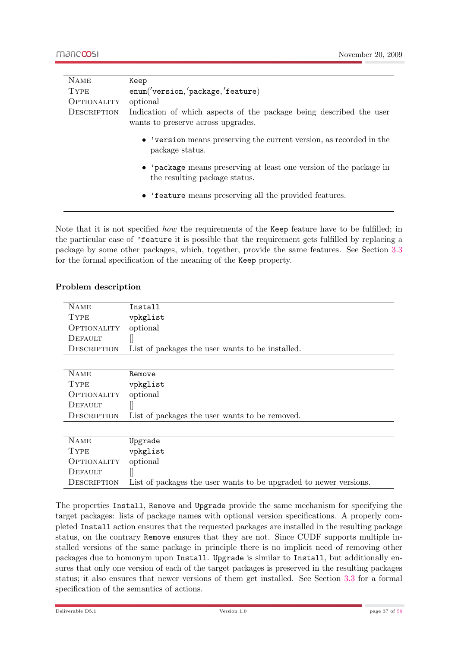| <b>NAME</b>        | Keep                                                                                                      |  |  |  |
|--------------------|-----------------------------------------------------------------------------------------------------------|--|--|--|
| <b>TYPE</b>        | enum('version,'package,'feature)                                                                          |  |  |  |
| <b>OPTIONALITY</b> | optional                                                                                                  |  |  |  |
| <b>DESCRIPTION</b> | Indication of which aspects of the package being described the user<br>wants to preserve across upgrades. |  |  |  |
|                    | • 'version means preserving the current version, as recorded in the<br>package status.                    |  |  |  |
|                    | • 'package means preserving at least one version of the package in<br>the resulting package status.       |  |  |  |
|                    | • 'feature means preserving all the provided features.                                                    |  |  |  |

Note that it is not specified how the requirements of the Keep feature have to be fulfilled; in the particular case of 'feature it is possible that the requirement gets fulfilled by replacing a package by some other packages, which, together, provide the same features. See Section [3.3](#page-38-0) for the formal specification of the meaning of the Keep property.

#### Problem description

<span id="page-36-0"></span>

| <b>NAME</b>        | Install                                                           |  |  |
|--------------------|-------------------------------------------------------------------|--|--|
| <b>TYPE</b>        | vpkglist                                                          |  |  |
| OPTIONALITY        | optional                                                          |  |  |
| DEFAULT            |                                                                   |  |  |
| DESCRIPTION        | List of packages the user wants to be installed.                  |  |  |
|                    |                                                                   |  |  |
| <b>NAME</b>        | Remove                                                            |  |  |
| <b>TYPE</b>        | vpkglist                                                          |  |  |
| <b>OPTIONALITY</b> | optional                                                          |  |  |
| DEFAULT            |                                                                   |  |  |
| DESCRIPTION        | List of packages the user wants to be removed.                    |  |  |
|                    |                                                                   |  |  |
| <b>NAME</b>        | Upgrade                                                           |  |  |
| <b>TYPE</b>        | vpkglist                                                          |  |  |
| OPTIONALITY        | optional                                                          |  |  |
| DEFAULT            |                                                                   |  |  |
| DESCRIPTION        | List of packages the user wants to be upgraded to newer versions. |  |  |

The properties Install, Remove and Upgrade provide the same mechanism for specifying the target packages: lists of package names with optional version specifications. A properly completed Install action ensures that the requested packages are installed in the resulting package status, on the contrary Remove ensures that they are not. Since CUDF supports multiple installed versions of the same package in principle there is no implicit need of removing other packages due to homonym upon Install. Upgrade is similar to Install, but additionally ensures that only one version of each of the target packages is preserved in the resulting packages status; it also ensures that newer versions of them get installed. See Section [3.3](#page-38-0) for a formal specification of the semantics of actions.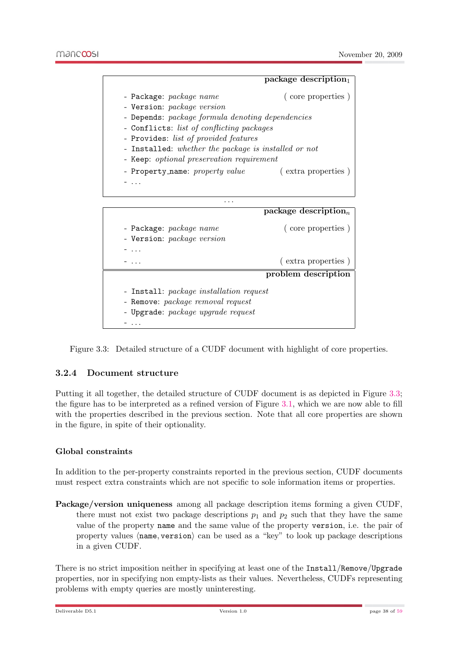

<span id="page-37-2"></span>Figure 3.3: Detailed structure of a CUDF document with highlight of core properties.

#### <span id="page-37-0"></span>3.2.4 Document structure

Putting it all together, the detailed structure of CUDF document is as depicted in Figure [3.3;](#page-37-2) the figure has to be interpreted as a refined version of Figure [3.1,](#page-26-1) which we are now able to fill with the properties described in the previous section. Note that all core properties are shown in the figure, in spite of their optionality.

#### Global constraints

<span id="page-37-1"></span>In addition to the per-property constraints reported in the previous section, CUDF documents must respect extra constraints which are not specific to sole information items or properties.

Package/version uniqueness among all package description items forming a given CUDF, there must not exist two package descriptions  $p_1$  and  $p_2$  such that they have the same value of the property name and the same value of the property version, i.e. the pair of property values  $\langle$ **name**, version $\rangle$  can be used as a "key" to look up package descriptions in a given CUDF.

There is no strict imposition neither in specifying at least one of the Install/Remove/Upgrade properties, nor in specifying non empty-lists as their values. Nevertheless, CUDFs representing problems with empty queries are mostly uninteresting.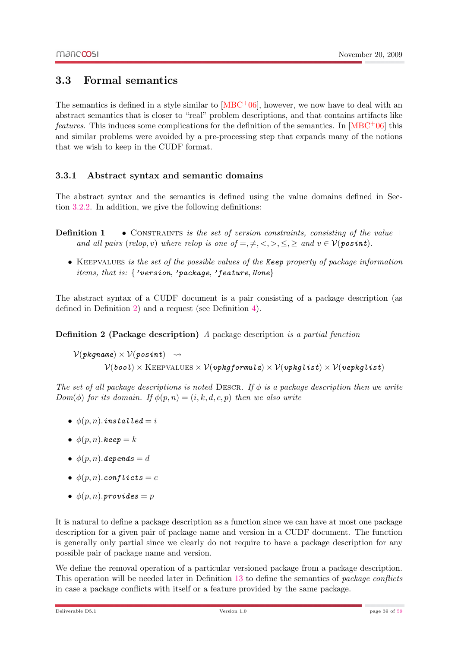#### <span id="page-38-0"></span>3.3 Formal semantics

The semantics is defined in a style similar to  $[MBC<sup>+</sup>06]$  $[MBC<sup>+</sup>06]$ , however, we now have to deal with an abstract semantics that is closer to "real" problem descriptions, and that contains artifacts like *features*. This induces some complications for the definition of the semantics. In  $[MBC<sup>+</sup>06]$  $[MBC<sup>+</sup>06]$  this and similar problems were avoided by a pre-processing step that expands many of the notions that we wish to keep in the CUDF format.

#### <span id="page-38-1"></span>3.3.1 Abstract syntax and semantic domains

The abstract syntax and the semantics is defined using the value domains defined in Section [3.2.2.](#page-28-0) In addition, we give the following definitions:

- **Definition 1** CONSTRAINTS is the set of version constraints, consisting of the value  $\top$ and all pairs (relop, v) where relop is one of  $=, \neq, \leq, \geq, \leq, \geq$  and  $v \in V(\text{posit})$ .
	- KEEPVALUES is the set of the possible values of the Keep property of package information items, that is: {'version, 'package, 'feature, None}

The abstract syntax of a CUDF document is a pair consisting of a package description (as defined in Definition [2\)](#page-38-2) and a request (see Definition [4\)](#page-39-1).

<span id="page-38-2"></span>Definition 2 (Package description) A package description is a partial function

 $V(pkqname) \times V(posint) \longrightarrow$  $V(bool) \times \text{KEEPVALUES} \times V(vpkgformula) \times V(vpkglist) \times V(vepkglist)$ 

The set of all package descriptions is noted DESCR. If  $\phi$  is a package description then we write  $Dom(\phi)$  for its domain. If  $\phi(p,n) = (i, k, d, c, p)$  then we also write

- $\phi(p, n)$ . installed = i
- $\phi(p, n)$ .keep = k
- $\phi(p, n)$ . depends = d
- $\phi(p, n)$ .conflicts = c
- $\phi(p,n)$ .provides = p

It is natural to define a package description as a function since we can have at most one package description for a given pair of package name and version in a CUDF document. The function is generally only partial since we clearly do not require to have a package description for any possible pair of package name and version.

We define the removal operation of a particular versioned package from a package description. This operation will be needed later in Definition [13](#page-40-1) to define the semantics of package conflicts in case a package conflicts with itself or a feature provided by the same package.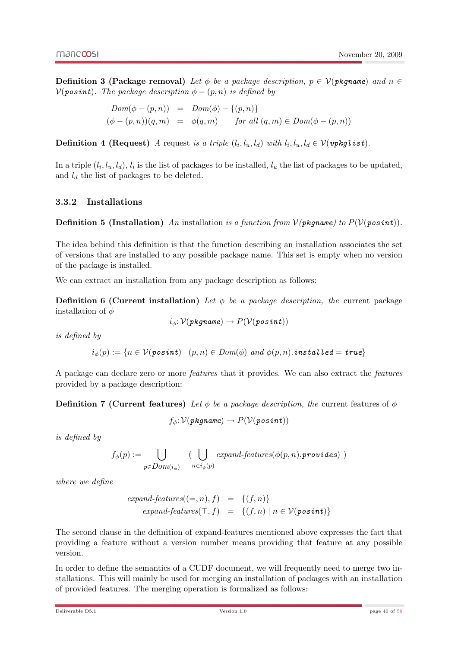**Definition 3 (Package removal)** Let  $\phi$  be a package description,  $p \in \mathcal{V}(p)$  kg and  $n \in \mathcal{V}(p)$  $V(posint)$ . The package description  $\phi - (p, n)$  is defined by

> $Dom(\phi - (p, n)) = Dom(\phi) - \{(p, n)\}$  $(\phi - (p, n))(q, m) = \phi(q, m)$  for all  $(q, m) \in Dom(\phi - (p, n))$

<span id="page-39-1"></span>**Definition 4 (Request)** A request is a triple  $(l_i, l_u, l_d)$  with  $l_i, l_u, l_d \in V(\textit{vpglist}).$ 

In a triple  $(l_i, l_u, l_d)$ ,  $l_i$  is the list of packages to be installed,  $l_u$  the list of packages to be updated, and  $l_d$  the list of packages to be deleted.

#### <span id="page-39-0"></span>3.3.2 Installations

**Definition 5 (Installation)** An installation is a function from  $V(pkgname)$  to  $P(V(posint))$ .

The idea behind this definition is that the function describing an installation associates the set of versions that are installed to any possible package name. This set is empty when no version of the package is installed.

We can extract an installation from any package description as follows:

**Definition 6 (Current installation)** Let  $\phi$  be a package description, the current package installation of  $\phi$ 

$$
i_\phi\!\!: \mathcal{V}(pkgname) \to P(\mathcal{V}(posint))
$$

is defined by

$$
i_\phi(p):=\{n\in \mathcal{V}(\mathit{posint}) \mid (p,n)\in\mathit{Dom}(\phi)\ \mathit{and}\ \phi(p,n).\mathit{instead}=true\}
$$

A package can declare zero or more features that it provides. We can also extract the features provided by a package description:

**Definition 7 (Current features)** Let  $\phi$  be a package description, the current features of  $\phi$ 

 $f_{\phi}: \mathcal{V}(pkgname) \rightarrow P(\mathcal{V}(posint))$ 

is defined by

$$
f_{\phi}(p) := \bigcup_{p \in Dom(i_{\phi})} (\bigcup_{n \in i_{\phi}(p)} expand-features(\phi(p, n).provides))
$$

where we define

$$
expand-features((-,n), f) = \{(f,n)\}
$$
  

$$
expand-features(T, f) = \{(f,n) | n \in V(posit)\}
$$

The second clause in the definition of expand-features mentioned above expresses the fact that providing a feature without a version number means providing that feature at any possible version.

In order to define the semantics of a CUDF document, we will frequently need to merge two installations. This will mainly be used for merging an installation of packages with an installation of provided features. The merging operation is formalized as follows: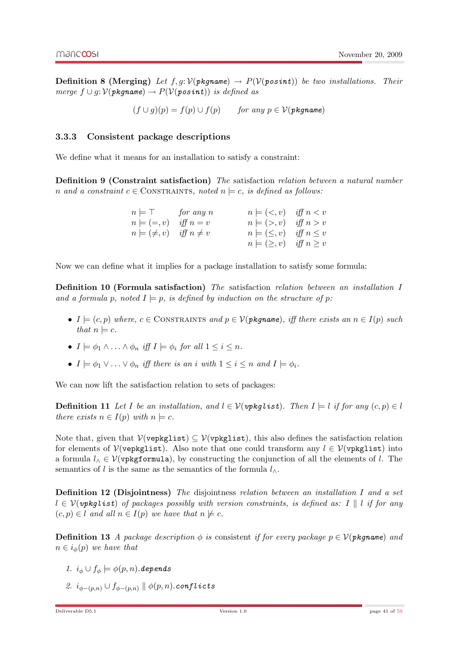**Definition 8 (Merging)** Let  $f, g: V(pkqname) \rightarrow P(V(posint))$  be two installations. Their merge  $f \cup g: V(pkqname) \rightarrow P(V(posint))$  is defined as

 $(f \cup q)(p) = f(p) \cup f(p)$  for any  $p \in V(pk)$  for any  $p \in V(pk)$ 

#### <span id="page-40-0"></span>3.3.3 Consistent package descriptions

We define what it means for an installation to satisfy a constraint:

Definition 9 (Constraint satisfaction) The satisfaction relation between a natural number n and a constraint  $c \in \text{CONTRAINTS}$ , noted  $n \models c$ , is defined as follows:

| $n \models \top$ for any n           | $n \models (\lt, v)$ iff $n \lt v$   |  |
|--------------------------------------|--------------------------------------|--|
| $n \models (= v)$ iff $n = v$        | $n \models (\gt, v)$ iff $n \gt v$   |  |
| $n \models (\neq, v)$ iff $n \neq v$ | $n \models (\leq, v)$ iff $n \leq v$ |  |
|                                      | $n \models (\geq, v)$ iff $n \geq v$ |  |

Now we can define what it implies for a package installation to satisfy some formula:

Definition 10 (Formula satisfaction) The satisfaction relation between an installation I and a formula p, noted  $I \models p$ , is defined by induction on the structure of p:

- $I = (c, p)$  where,  $c \in \text{CONTraINTS}$  and  $p \in \mathcal{V}(p \textit{kgname})$ , iff there exists an  $n \in I(p)$  such that  $n \models c$ .
- $I \models \phi_1 \wedge \ldots \wedge \phi_n$  iff  $I \models \phi_i$  for all  $1 \leq i \leq n$ .
- $I \models \phi_1 \vee \ldots \vee \phi_n$  iff there is an i with  $1 \leq i \leq n$  and  $I \models \phi_i$ .

We can now lift the satisfaction relation to sets of packages:

**Definition 11** Let I be an installation, and  $l \in V(\text{upkqlist})$ . Then  $I \models l$  if for any  $(c, p) \in l$ there exists  $n \in I(p)$  with  $n \models c$ .

Note that, given that  $\mathcal{V}(\mathbf{v} \in \mathbb{R}) \subseteq \mathcal{V}(\mathbf{v} \in \mathbb{R})$ , this also defines the satisfaction relation for elements of  $V(\text{vepkglist})$ . Also note that one could transform any  $l \in V(\text{vekglist})$  into a formula  $l_0 \in V(\text{vpkgformula})$ , by constructing the conjunction of all the elements of l. The semantics of l is the same as the semantics of the formula  $l_{\wedge}$ .

Definition 12 (Disjointness) The disjointness relation between an installation I and a set  $l \in \mathcal{V}(\textit{vpkglist})$  of packages possibly with version constraints, is defined as: I k if for any  $(c, p) \in l$  and all  $n \in I(p)$  we have that  $n \not\models c$ .

<span id="page-40-1"></span>**Definition 13** A package description  $\phi$  is consistent if for every package  $p \in \mathcal{V}(p\mathbf{kqname})$  and  $n \in i_{\phi}(p)$  we have that

- 1.  $i_{\phi} \cup f_{\phi} \models \phi(p, n)$ . depends
- 2.  $i_{\phi-(p,n)} \cup f_{\phi-(p,n)} \parallel \phi(p,n)$ .conflicts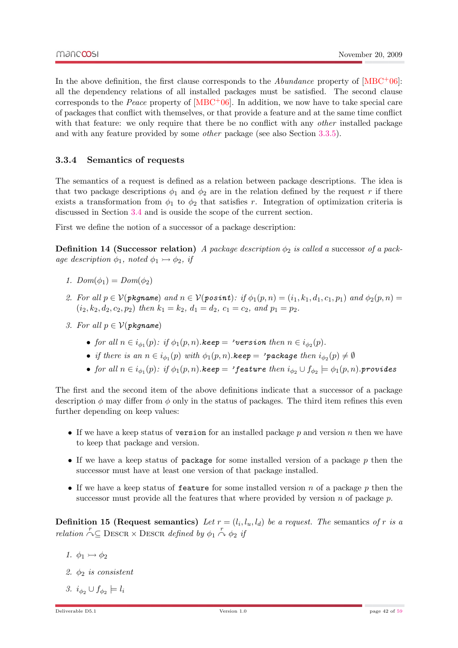In the above definition, the first clause corresponds to the *Abundance* property of  $[MBC^+06]$  $[MBC^+06]$ : all the dependency relations of all installed packages must be satisfied. The second clause corresponds to the *Peace* property of  $[MBC^+06]$  $[MBC^+06]$ . In addition, we now have to take special care of packages that conflict with themselves, or that provide a feature and at the same time conflict with that feature: we only require that there be no conflict with any *other* installed package and with any feature provided by some other package (see also Section [3.3.5\)](#page-42-0).

#### <span id="page-41-0"></span>3.3.4 Semantics of requests

The semantics of a request is defined as a relation between package descriptions. The idea is that two package descriptions  $\phi_1$  and  $\phi_2$  are in the relation defined by the request r if there exists a transformation from  $\phi_1$  to  $\phi_2$  that satisfies r. Integration of optimization criteria is discussed in Section [3.4](#page-42-1) and is ouside the scope of the current section.

First we define the notion of a successor of a package description:

**Definition 14 (Successor relation)** A package description  $\phi_2$  is called a successor of a package description  $\phi_1$ , noted  $\phi_1 \rightarrow \phi_2$ , if

- 1.  $Dom(\phi_1) = Dom(\phi_2)$
- 2. For all  $p \in V(pkgname)$  and  $n \in V(posint):$  if  $\phi_1(p,n) = (i_1, k_1, d_1, c_1, p_1)$  and  $\phi_2(p,n) =$  $(i_2, k_2, d_2, c_2, p_2)$  then  $k_1 = k_2$ ,  $d_1 = d_2$ ,  $c_1 = c_2$ , and  $p_1 = p_2$ .
- 3. For all  $p \in V(\text{p}$ kaname)
	- for all  $n \in i_{\phi_1}(p)$ : if  $\phi_1(p,n)$ .keep = 'version then  $n \in i_{\phi_2}(p)$ .
	- if there is an  $n \in i_{\phi_1}(p)$  with  $\phi_1(p,n)$ . keep = 'package then  $i_{\phi_2}(p) \neq \emptyset$
	- for all  $n\in i_{\phi_1}(p)\colon\, if\ \phi_1(p,n).$ keep  $=$  'feature then  $i_{\phi_2}\cup f_{\phi_2}\models\phi_1(p,n).$ provides

The first and the second item of the above definitions indicate that a successor of a package description  $\phi$  may differ from  $\phi$  only in the status of packages. The third item refines this even further depending on keep values:

- If we have a keep status of version for an installed package  $p$  and version  $n$  then we have to keep that package and version.
- If we have a keep status of package for some installed version of a package  $p$  then the successor must have at least one version of that package installed.
- If we have a keep status of feature for some installed version n of a package p then the successor must provide all the features that where provided by version n of package  $p$ .

**Definition 15 (Request semantics)** Let  $r = (l_i, l_u, l_d)$  be a request. The semantics of r is a relation  $\bigcap_{i=1}^r$  DESCR  $\times$  DESCR defined by  $\phi_1 \stackrel{r}{\wedge} \phi_2$  if

- 1.  $\phi_1 \rightarrowtail \phi_2$
- 2.  $\phi_2$  is consistent
- 3.  $i_{\phi_2} \cup f_{\phi_2} \models l_i$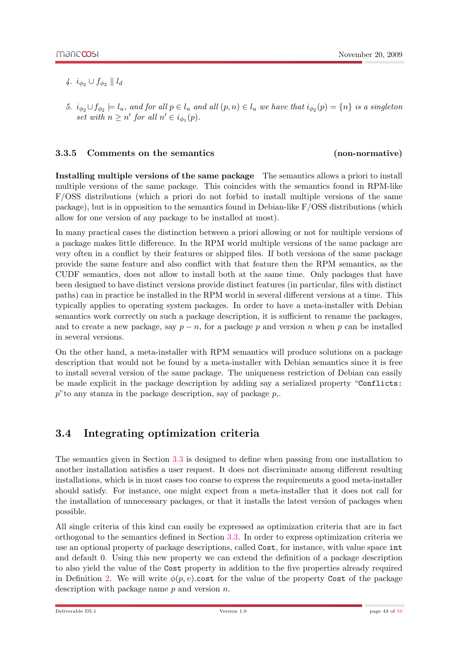- 4.  $i_{\phi_2} \cup f_{\phi_2} \parallel l_d$
- 5.  $i_{\phi_2} \cup f_{\phi_2} \models l_u$ , and for all  $p \in l_u$  and all  $(p, n) \in l_u$  we have that  $i_{\phi_2}(p) = \{n\}$  is a singleton set with  $n \geq n'$  for all  $n' \in i_{\phi_1}(p)$ .

#### <span id="page-42-0"></span>3.3.5 Comments on the semantics (non-normative)

Installing multiple versions of the same package The semantics allows a priori to install multiple versions of the same package. This coincides with the semantics found in RPM-like F/OSS distributions (which a priori do not forbid to install multiple versions of the same package), but is in opposition to the semantics found in Debian-like F/OSS distributions (which allow for one version of any package to be installed at most).

In many practical cases the distinction between a priori allowing or not for multiple versions of a package makes little difference. In the RPM world multiple versions of the same package are very often in a conflict by their features or shipped files. If both versions of the same package provide the same feature and also conflict with that feature then the RPM semantics, as the CUDF semantics, does not allow to install both at the same time. Only packages that have been designed to have distinct versions provide distinct features (in particular, files with distinct paths) can in practice be installed in the RPM world in several different versions at a time. This typically applies to operating system packages. In order to have a meta-installer with Debian semantics work correctly on such a package description, it is sufficient to rename the packages, and to create a new package, say  $p - n$ , for a package p and version n when p can be installed in several versions.

On the other hand, a meta-installer with RPM semantics will produce solutions on a package description that would not be found by a meta-installer with Debian semantics since it is free to install several version of the same package. The uniqueness restriction of Debian can easily be made explicit in the package description by adding say a serialized property "Conflicts:  $p$ "to any stanza in the package description, say of package  $p$ ,.

### <span id="page-42-1"></span>3.4 Integrating optimization criteria

The semantics given in Section [3.3](#page-38-0) is designed to define when passing from one installation to another installation satisfies a user request. It does not discriminate among different resulting installations, which is in most cases too coarse to express the requirements a good meta-installer should satisfy. For instance, one might expect from a meta-installer that it does not call for the installation of unnecessary packages, or that it installs the latest version of packages when possible.

All single criteria of this kind can easily be expressed as optimization criteria that are in fact orthogonal to the semantics defined in Section [3.3.](#page-38-0) In order to express optimization criteria we use an optional property of package descriptions, called Cost, for instance, with value space int and default 0. Using this new property we can extend the definition of a package description to also yield the value of the Cost property in addition to the five properties already required in Definition [2.](#page-38-2) We will write  $\phi(p, v)$ .cost for the value of the property Cost of the package description with package name  $p$  and version  $n$ .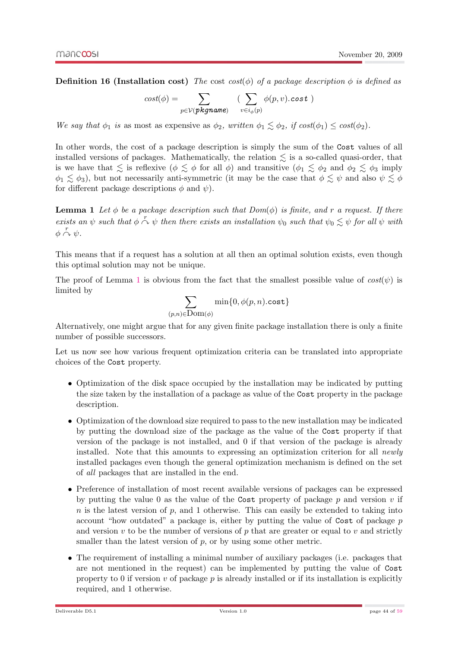**Definition 16 (Installation cost)** The cost cost( $\phi$ ) of a package description  $\phi$  is defined as

$$
cost(\phi) = \sum_{p \in \mathcal{V}(\textit{pkgname})} (\sum_{v \in i_{\phi}(p)} \phi(p, v). cost)
$$

We say that  $\phi_1$  is as most as expensive as  $\phi_2$ , written  $\phi_1 \leq \phi_2$ , if  $cost(\phi_1) \leq cost(\phi_2)$ .

In other words, the cost of a package description is simply the sum of the Cost values of all installed versions of packages. Mathematically, the relation  $\leq$  is a so-called quasi-order, that is we have that  $\leq$  is reflexive  $(\phi \leq \phi \text{ for all } \phi)$  and transitive  $(\phi_1 \leq \phi_2 \text{ and } \phi_2 \leq \phi_3 \text{ imply})$  $\phi_1 \lesssim \phi_3$ ), but not necessarily anti-symmetric (it may be the case that  $\phi \lesssim \psi$  and also  $\psi \lesssim \phi$ for different package descriptions  $\phi$  and  $\psi$ ).

<span id="page-43-0"></span>**Lemma 1** Let  $\phi$  be a package description such that  $Dom(\phi)$  is finite, and r a request. If there exists an  $\psi$  such that  $\phi \stackrel{r}{\sim} \psi$  then there exists an installation  $\psi_0$  such that  $\psi_0 \lesssim \psi$  for all  $\psi$  with  $\phi \stackrel{r}{\curvearrowright} \psi$ .

This means that if a request has a solution at all then an optimal solution exists, even though this optimal solution may not be unique.

The proof of Lemma [1](#page-43-0) is obvious from the fact that the smallest possible value of  $cost(\psi)$  is limited by

$$
\sum_{(p,n)\in {\rm Dom}(\phi)}\min\{0,\phi(p,n).\mathsf{cost}\}
$$

Alternatively, one might argue that for any given finite package installation there is only a finite number of possible successors.

Let us now see how various frequent optimization criteria can be translated into appropriate choices of the Cost property.

- Optimization of the disk space occupied by the installation may be indicated by putting the size taken by the installation of a package as value of the Cost property in the package description.
- Optimization of the download size required to pass to the new installation may be indicated by putting the download size of the package as the value of the Cost property if that version of the package is not installed, and 0 if that version of the package is already installed. Note that this amounts to expressing an optimization criterion for all *newly* installed packages even though the general optimization mechanism is defined on the set of all packages that are installed in the end.
- Preference of installation of most recent available versions of packages can be expressed by putting the value 0 as the value of the Cost property of package  $p$  and version  $v$  if  $n$  is the latest version of  $p$ , and 1 otherwise. This can easily be extended to taking into account "how outdated" a package is, either by putting the value of Cost of package p and version  $v$  to be the number of versions of  $p$  that are greater or equal to  $v$  and strictly smaller than the latest version of  $p$ , or by using some other metric.
- The requirement of installing a minimal number of auxiliary packages (i.e. packages that are not mentioned in the request) can be implemented by putting the value of Cost property to 0 if version  $v$  of package  $p$  is already installed or if its installation is explicitly required, and 1 otherwise.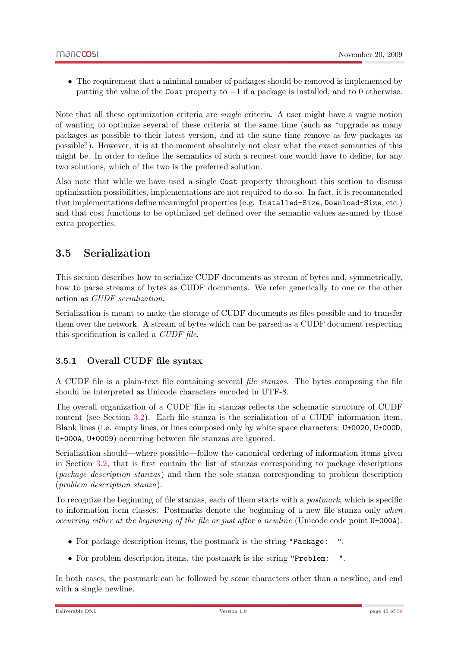• The requirement that a minimal number of packages should be removed is implemented by putting the value of the Cost property to −1 if a package is installed, and to 0 otherwise.

Note that all these optimization criteria are single criteria. A user might have a vague notion of wanting to optimize several of these criteria at the same time (such as "upgrade as many packages as possible to their latest version, and at the same time remove as few packages as possible"). However, it is at the moment absolutely not clear what the exact semantics of this might be. In order to define the semantics of such a request one would have to define, for any two solutions, which of the two is the preferred solution.

Also note that while we have used a single Cost property throughout this section to discuss optimization possibilities, implementations are not required to do so. In fact, it is recommended that implementations define meaningful properties (e.g. Installed-Size, Download-Size, etc.) and that cost functions to be optimized get defined over the semantic values assumed by those extra properties.

### <span id="page-44-0"></span>3.5 Serialization

This section describes how to serialize CUDF documents as stream of bytes and, symmetrically, how to parse streams of bytes as CUDF documents. We refer generically to one or the other action as CUDF serialization.

Serialization is meant to make the storage of CUDF documents as files possible and to transfer them over the network. A stream of bytes which can be parsed as a CUDF document respecting this specification is called a CUDF file.

#### <span id="page-44-1"></span>3.5.1 Overall CUDF file syntax

A CUDF file is a plain-text file containing several file stanzas. The bytes composing the file should be interpreted as Unicode characters encoded in UTF-8.

The overall organization of a CUDF file in stanzas reflects the schematic structure of CUDF content (see Section [3.2\)](#page-26-0). Each file stanza is the serialization of a CUDF information item. Blank lines (i.e. empty lines, or lines composed only by white space characters: U+0020, U+000D, U+000A, U+0009) occurring between file stanzas are ignored.

Serialization should—where possible—follow the canonical ordering of information items given in Section [3.2,](#page-26-0) that is first contain the list of stanzas corresponding to package descriptions (package description stanzas) and then the sole stanza corresponding to problem description (problem description stanza).

To recognize the beginning of file stanzas, each of them starts with a postmark, which is specific to information item classes. Postmarks denote the beginning of a new file stanza only when occurring either at the beginning of the file or just after a newline (Unicode code point U+000A).

- For package description items, the postmark is the string "Package: ".
- For problem description items, the postmark is the string "Problem: ".

In both cases, the postmark can be followed by some characters other than a newline, and end with a single newline.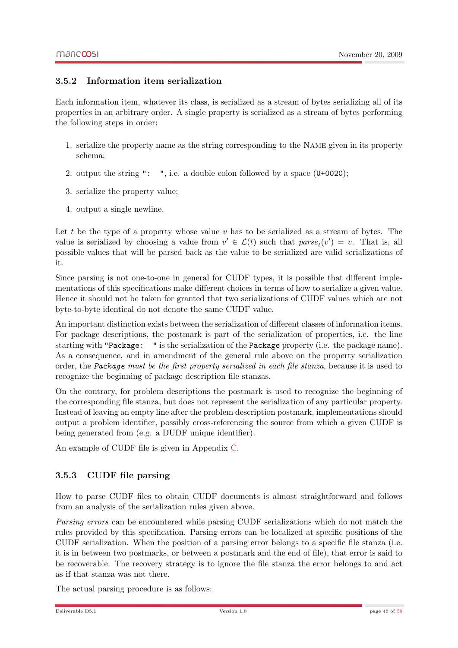#### <span id="page-45-0"></span>3.5.2 Information item serialization

Each information item, whatever its class, is serialized as a stream of bytes serializing all of its properties in an arbitrary order. A single property is serialized as a stream of bytes performing the following steps in order:

- 1. serialize the property name as the string corresponding to the Name given in its property schema;
- 2. output the string ": ", i.e. a double colon followed by a space (U+0020);
- 3. serialize the property value;
- 4. output a single newline.

Let t be the type of a property whose value  $v$  has to be serialized as a stream of bytes. The value is serialized by choosing a value from  $v' \in \mathcal{L}(t)$  such that  $parse_t(v') = v$ . That is, all possible values that will be parsed back as the value to be serialized are valid serializations of it.

Since parsing is not one-to-one in general for CUDF types, it is possible that different implementations of this specifications make different choices in terms of how to serialize a given value. Hence it should not be taken for granted that two serializations of CUDF values which are not byte-to-byte identical do not denote the same CUDF value.

An important distinction exists between the serialization of different classes of information items. For package descriptions, the postmark is part of the serialization of properties, i.e. the line starting with "Package: " is the serialization of the Package property (i.e. the package name). As a consequence, and in amendment of the general rule above on the property serialization order, the Package must be the first property serialized in each file stanza, because it is used to recognize the beginning of package description file stanzas.

On the contrary, for problem descriptions the postmark is used to recognize the beginning of the corresponding file stanza, but does not represent the serialization of any particular property. Instead of leaving an empty line after the problem description postmark, implementations should output a problem identifier, possibly cross-referencing the source from which a given CUDF is being generated from (e.g. a DUDF unique identifier).

An example of CUDF file is given in Appendix [C.](#page-54-0)

#### <span id="page-45-1"></span>3.5.3 CUDF file parsing

How to parse CUDF files to obtain CUDF documents is almost straightforward and follows from an analysis of the serialization rules given above.

Parsing errors can be encountered while parsing CUDF serializations which do not match the rules provided by this specification. Parsing errors can be localized at specific positions of the CUDF serialization. When the position of a parsing error belongs to a specific file stanza (i.e. it is in between two postmarks, or between a postmark and the end of file), that error is said to be recoverable. The recovery strategy is to ignore the file stanza the error belongs to and act as if that stanza was not there.

The actual parsing procedure is as follows: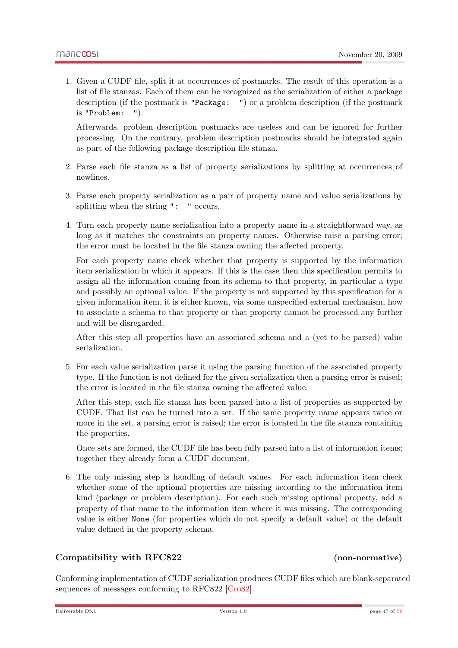1. Given a CUDF file, split it at occurrences of postmarks. The result of this operation is a list of file stanzas. Each of them can be recognized as the serialization of either a package description (if the postmark is "Package: ") or a problem description (if the postmark is "Problem: ").

Afterwards, problem description postmarks are useless and can be ignored for further processing. On the contrary, problem description postmarks should be integrated again as part of the following package description file stanza.

- 2. Parse each file stanza as a list of property serializations by splitting at occurrences of newlines.
- 3. Parse each property serialization as a pair of property name and value serializations by splitting when the string ": " occurs.
- 4. Turn each property name serialization into a property name in a straightforward way, as long as it matches the constraints on property names. Otherwise raise a parsing error; the error must be located in the file stanza owning the affected property.

For each property name check whether that property is supported by the information item serialization in which it appears. If this is the case then this specification permits to assign all the information coming from its schema to that property, in particular a type and possibly an optional value. If the property is not supported by this specification for a given information item, it is either known, via some unspecified external mechanism, how to associate a schema to that property or that property cannot be processed any further and will be disregarded.

After this step all properties have an associated schema and a (yet to be parsed) value serialization.

5. For each value serialization parse it using the parsing function of the associated property type. If the function is not defined for the given serialization then a parsing error is raised; the error is located in the file stanza owning the affected value.

After this step, each file stanza has been parsed into a list of properties as supported by CUDF. That list can be turned into a set. If the same property name appears twice or more in the set, a parsing error is raised; the error is located in the file stanza containing the properties.

Once sets are formed, the CUDF file has been fully parsed into a list of information items; together they already form a CUDF document.

6. The only missing step is handling of default values. For each information item check whether some of the optional properties are missing according to the information item kind (package or problem description). For each such missing optional property, add a property of that name to the information item where it was missing. The corresponding value is either None (for properties which do not specify a default value) or the default value defined in the property schema.

#### Compatibility with RFC822 (non-normative)

Conforming implementation of CUDF serialization produces CUDF files which are blank-separated sequences of messages conforming to RFC822 [\[Cro82\]](#page-58-4).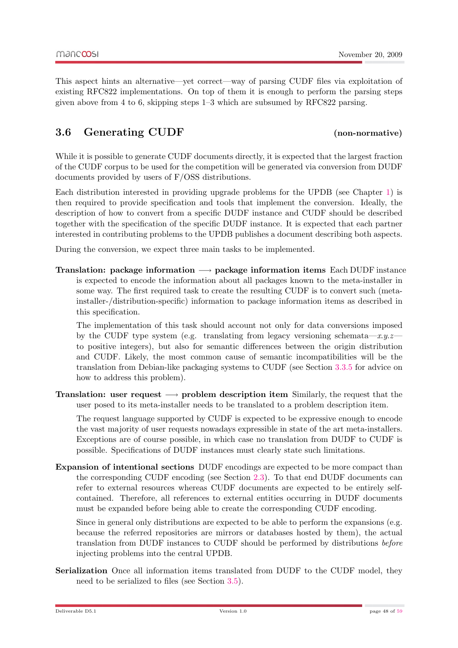This aspect hints an alternative—yet correct—way of parsing CUDF files via exploitation of existing RFC822 implementations. On top of them it is enough to perform the parsing steps given above from 4 to 6, skipping steps 1–3 which are subsumed by RFC822 parsing.

### <span id="page-47-0"></span>3.6 Generating CUDF (non-normative)

While it is possible to generate CUDF documents directly, it is expected that the largest fraction of the CUDF corpus to be used for the competition will be generated via conversion from DUDF documents provided by users of F/OSS distributions.

Each distribution interested in providing upgrade problems for the UPDB (see Chapter [1\)](#page-8-0) is then required to provide specification and tools that implement the conversion. Ideally, the description of how to convert from a specific DUDF instance and CUDF should be described together with the specification of the specific DUDF instance. It is expected that each partner interested in contributing problems to the UPDB publishes a document describing both aspects.

During the conversion, we expect three main tasks to be implemented.

Translation: package information  $\rightarrow$  package information items Each DUDF instance is expected to encode the information about all packages known to the meta-installer in some way. The first required task to create the resulting CUDF is to convert such (metainstaller-/distribution-specific) information to package information items as described in this specification.

The implementation of this task should account not only for data conversions imposed by the CUDF type system (e.g. translating from legacy versioning schemata—x.y.z– to positive integers), but also for semantic differences between the origin distribution and CUDF. Likely, the most common cause of semantic incompatibilities will be the translation from Debian-like packaging systems to CUDF (see Section [3.3.5](#page-42-0) for advice on how to address this problem).

**Translation:** user request  $\rightarrow$  problem description item Similarly, the request that the user posed to its meta-installer needs to be translated to a problem description item.

The request language supported by CUDF is expected to be expressive enough to encode the vast majority of user requests nowadays expressible in state of the art meta-installers. Exceptions are of course possible, in which case no translation from DUDF to CUDF is possible. Specifications of DUDF instances must clearly state such limitations.

Expansion of intentional sections DUDF encodings are expected to be more compact than the corresponding CUDF encoding (see Section [2.3\)](#page-18-0). To that end DUDF documents can refer to external resources whereas CUDF documents are expected to be entirely selfcontained. Therefore, all references to external entities occurring in DUDF documents must be expanded before being able to create the corresponding CUDF encoding.

Since in general only distributions are expected to be able to perform the expansions (e.g. because the referred repositories are mirrors or databases hosted by them), the actual translation from DUDF instances to CUDF should be performed by distributions before injecting problems into the central UPDB.

Serialization Once all information items translated from DUDF to the CUDF model, they need to be serialized to files (see Section [3.5\)](#page-44-0).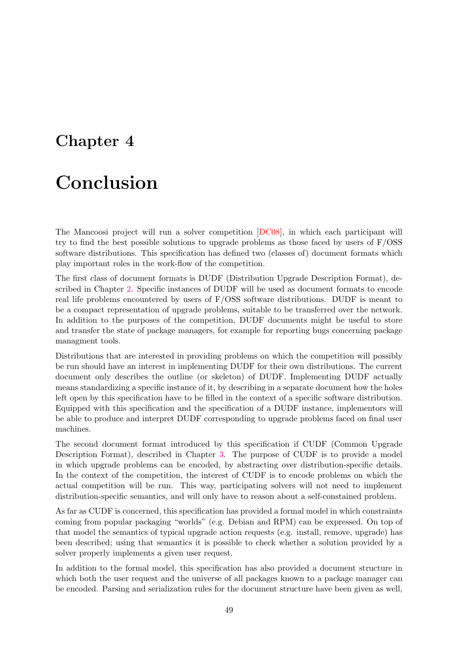# <span id="page-48-0"></span>Chapter 4

# Conclusion

The Mancoosi project will run a solver competition [\[DC08\]](#page-58-2), in which each participant will try to find the best possible solutions to upgrade problems as those faced by users of  $F/OSS$ software distributions. This specification has defined two (classes of) document formats which play important roles in the work-flow of the competition.

The first class of document formats is DUDF (Distribution Upgrade Description Format), described in Chapter [2.](#page-14-0) Specific instances of DUDF will be used as document formats to encode real life problems encountered by users of F/OSS software distributions. DUDF is meant to be a compact representation of upgrade problems, suitable to be transferred over the network. In addition to the purposes of the competition, DUDF documents might be useful to store and transfer the state of package managers, for example for reporting bugs concerning package managment tools.

Distributions that are interested in providing problems on which the competition will possibly be run should have an interest in implementing DUDF for their own distributions. The current document only describes the outline (or skeleton) of DUDF. Implementing DUDF actually means standardizing a specific instance of it, by describing in a separate document how the holes left open by this specification have to be filled in the context of a specific software distribution. Equipped with this specification and the specification of a DUDF instance, implementors will be able to produce and interpret DUDF corresponding to upgrade problems faced on final user machines.

The second document format introduced by this specification if CUDF (Common Upgrade Description Format), described in Chapter [3.](#page-22-0) The purpose of CUDF is to provide a model in which upgrade problems can be encoded, by abstracting over distribution-specific details. In the context of the competition, the interest of CUDF is to encode problems on which the actual competition will be run. This way, participating solvers will not need to implement distribution-specific semantics, and will only have to reason about a self-constained problem.

As far as CUDF is concerned, this specification has provided a formal model in which constraints coming from popular packaging "worlds" (e.g. Debian and RPM) can be expressed. On top of that model the semantics of typical upgrade action requests (e.g. install, remove, upgrade) has been described; using that semantics it is possible to check whether a solution provided by a solver properly implements a given user request.

In addition to the formal model, this specification has also provided a document structure in which both the user request and the universe of all packages known to a package manager can be encoded. Parsing and serialization rules for the document structure have been given as well,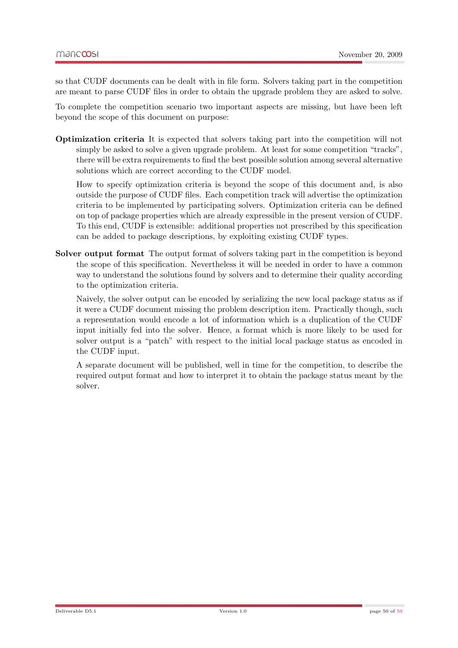so that CUDF documents can be dealt with in file form. Solvers taking part in the competition are meant to parse CUDF files in order to obtain the upgrade problem they are asked to solve.

To complete the competition scenario two important aspects are missing, but have been left beyond the scope of this document on purpose:

Optimization criteria It is expected that solvers taking part into the competition will not simply be asked to solve a given upgrade problem. At least for some competition "tracks", there will be extra requirements to find the best possible solution among several alternative solutions which are correct according to the CUDF model.

How to specify optimization criteria is beyond the scope of this document and, is also outside the purpose of CUDF files. Each competition track will advertise the optimization criteria to be implemented by participating solvers. Optimization criteria can be defined on top of package properties which are already expressible in the present version of CUDF. To this end, CUDF is extensible: additional properties not prescribed by this specification can be added to package descriptions, by exploiting existing CUDF types.

Solver output format The output format of solvers taking part in the competition is beyond the scope of this specification. Nevertheless it will be needed in order to have a common way to understand the solutions found by solvers and to determine their quality according to the optimization criteria.

Naively, the solver output can be encoded by serializing the new local package status as if it were a CUDF document missing the problem description item. Practically though, such a representation would encode a lot of information which is a duplication of the CUDF input initially fed into the solver. Hence, a format which is more likely to be used for solver output is a "patch" with respect to the initial local package status as encoded in the CUDF input.

A separate document will be published, well in time for the competition, to describe the required output format and how to interpret it to obtain the package status meant by the solver.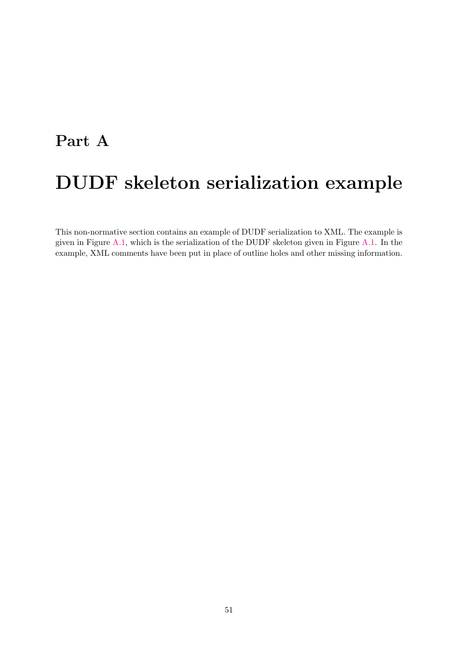# <span id="page-50-0"></span>Part A DUDF skeleton serialization example

This non-normative section contains an example of DUDF serialization to XML. The example is given in Figure [A.1,](#page-51-0) which is the serialization of the DUDF skeleton given in Figure [A.1.](#page-51-0) In the example, XML comments have been put in place of outline holes and other missing information.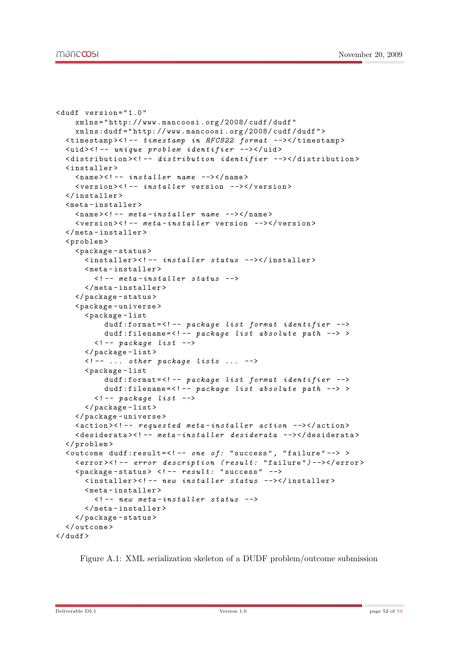```
< dudf version = " 1.0 "
    xmlns = " http: // www . mancoosi . org /2008/ cudf / dudf "
     xmlns:dudf = " http: // www . mancoosi . org /2008/ cudf / dudf " >
  \tt <i>timestemp</i> &lt; ! -- <i>timestemp in RFC822 format</i> --&gt;&lt; / <i>timestemp</i>< uid > <! -- unique problem identifier --> </ uid >
  < distribution > <! -- distribution identifier --> </ distribution >
  < installer >
     \langlename>\langle!-- installer name -->\langle/name>
     < version > <! -- installer version --> </ version >
  </ installer >
  < meta - installer >
     <sub>name</sub> <! -- <sub>meta</sub> - <sub>insta</sub>ller name --></name></sub></sub>
     < version > <! -- meta - installer version --> </ version >
  </ meta - installer >
  < problem >
     < package - status >
       < installer > <! -- installer status --> </ installer >
       < meta - installer >
          \leftarrow -- meta-installer status -->
       </ meta - installer >
     </ package - status >
     < package - universe >
       < package - list
            dudf:format = <! -- package list format identifier -->
            dudf:filename=<!-- package list absolute path \rightarrow >
          \langle! -- package list -->
       </ package - list >
       \leq - \ldots other package lists \ldots \rightarrow< package - list
            dudf:format = <! -- package list format identifier -->
            dudf:filename = <! -- package list absolute path --> >
          \langle!-- package list -->
       </ package - list >
     </ package - universe >
     \lambda <action > <! -- requested meta-installer action --> </action >
     < desiderata > <! -- meta - installer desiderata --> </ desiderata >
  </ problem >
  \zetaoutcome dudf:result=\zeta! -- one of: "success", "failure" --> >
     < error > <! -- error description ( result: " failure ") --> </ error >
     \langle package-status > \langle!-- result: "success" -->
       < installer > <! -- new installer status --> </ installer >
       < meta - installer >
          \leq - new meta-installer status \rightarrow</ meta - installer >
     </ package - status >
  </ outcome >
\langle/dudf>
```
<span id="page-51-0"></span>Figure A.1: XML serialization skeleton of a DUDF problem/outcome submission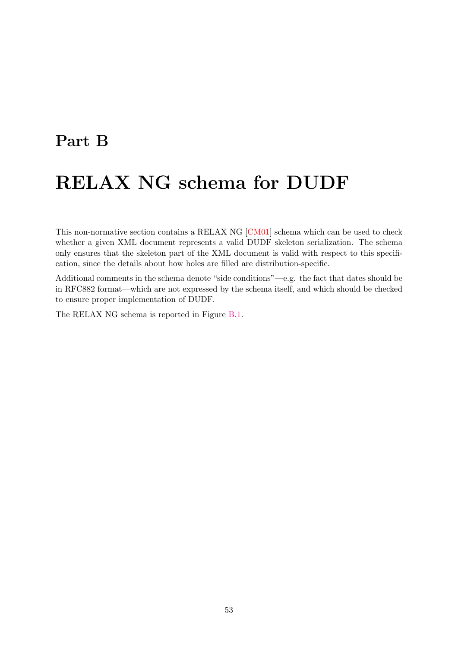## <span id="page-52-0"></span>Part B

# RELAX NG schema for DUDF

This non-normative section contains a RELAX NG [\[CM01\]](#page-58-11) schema which can be used to check whether a given XML document represents a valid DUDF skeleton serialization. The schema only ensures that the skeleton part of the XML document is valid with respect to this specification, since the details about how holes are filled are distribution-specific.

Additional comments in the schema denote "side conditions"—e.g. the fact that dates should be in RFC882 format—which are not expressed by the schema itself, and which should be checked to ensure proper implementation of DUDF.

The RELAX NG schema is reported in Figure [B.1.](#page-53-0)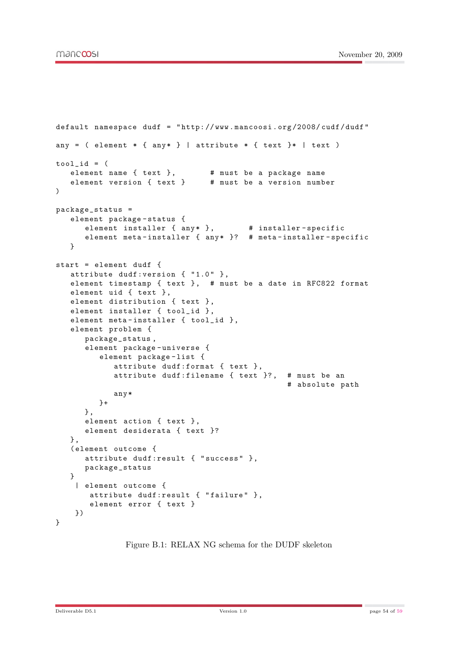```
default namespace dudf = " http: // www . mancoosi . org /2008/ cudf / dudf "
any = ( element * { any* } | attribute * { text }* | text )
\text{tool_id} = (element name { text } , # must be a package name
   element version { text } # must be a version number
\lambdapackage_status =
   element package - status {
      element installer \{ any * \}, \qquad # installer-specific
      element meta - installer { any * }? # meta - installer - specific
   }
start = element dudf {
   attribute dudf: version { "1.0" },
   element timestamp { text } , # must be a date in RFC822 format
   element uid { text } ,
   element distribution { text } ,
   element installer { tool_id } ,
   element meta-installer { tool_id },
   element problem {
      package_status ,
      element package-universe {
         element package-list {
            attribute dudf:format { text } ,
            attribute dudf:filename { text }? , # must be an
                                                   # absolute path
            any *
         \lambda+
      } ,
      element action { text } ,
      element desiderata { text }?
   } ,
   ( element outcome {
      attribute dudf:result { " success " } ,
      package_status
   }
    | element outcome {
       attribute dudf:result { "failure" },
       element error { text }
    })
}
```
<span id="page-53-0"></span>Figure B.1: RELAX NG schema for the DUDF skeleton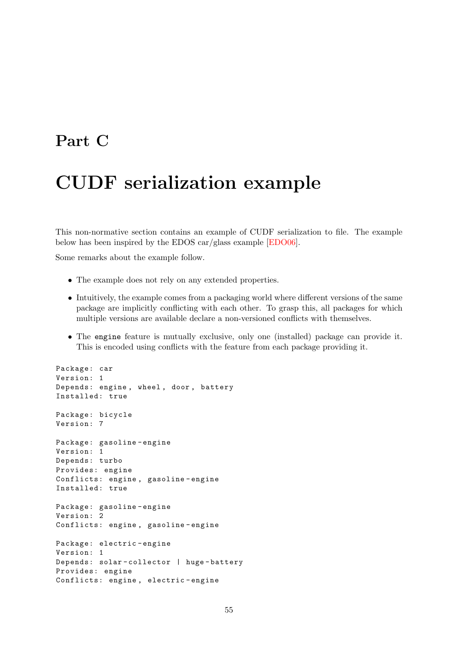## <span id="page-54-0"></span>Part C

# CUDF serialization example

This non-normative section contains an example of CUDF serialization to file. The example below has been inspired by the EDOS car/glass example [\[EDO06\]](#page-58-3).

Some remarks about the example follow.

- The example does not rely on any extended properties.
- Intuitively, the example comes from a packaging world where different versions of the same package are implicitly conflicting with each other. To grasp this, all packages for which multiple versions are available declare a non-versioned conflicts with themselves.
- The engine feature is mutually exclusive, only one (installed) package can provide it. This is encoded using conflicts with the feature from each package providing it.

```
Package: car
Version: 1
Depends: engine , wheel , door , battery
Installed: true
Package: bicycle
Version: 7
Package: gasoline-engine
Version: 1
Depends: turbo
Provides: engine
Conflicts: engine , gasoline - engine
Installed: true
Package: gasoline - engine
Version: 2
Conflicts: engine , gasoline - engine
Package: electric-engine
Version: 1
Depends: solar - collector | huge - battery
Provides: engine
Conflicts: engine , electric - engine
```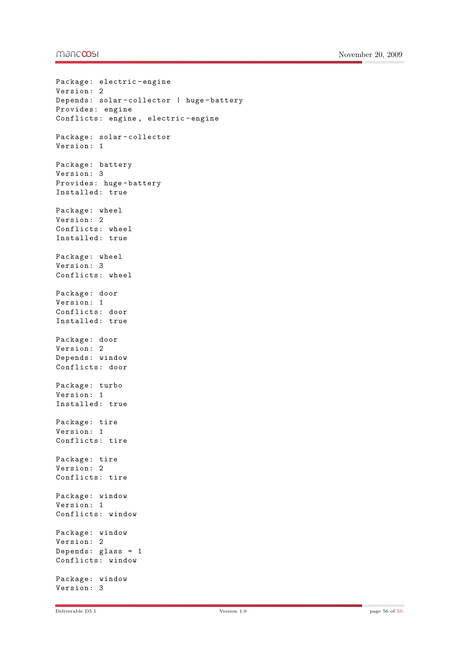#### mandoosi

```
Package: electric-engine
Version: 2
Depends: solar - collector | huge - battery
Provides: engine
Conflicts: engine , electric - engine
Package: solar - collector
Version: 1
Package: battery
Version: 3
Provides: huge - battery
Installed: true
Package: wheel
Version: 2
Conflicts: wheel
Installed: true
Package: wheel
Version: 3
Conflicts: wheel
Package: door
Version: 1
Conflicts: door
Installed: true
Package: door
Version: 2
Depends: window
Conflicts: door
Package: turbo
Version: 1
Installed: true
Package: tire
Version: 1
Conflicts: tire
Package: tire
Version: 2
Conflicts: tire
Package: window
Version: 1
Conflicts: window
Package: window
Version: 2
Depends: glass = 1
Conflicts: window
Package: window
Version: 3
```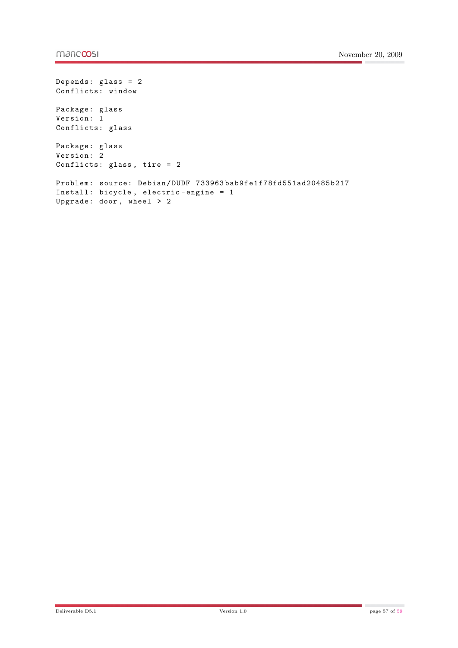```
Depends: glass = 2
Conflicts: window
Package: glass
Version: 1
Conflicts: glass
Package: glass
Version: 2
Conflicts: glass, tire = 2Problem: source: Debian / DUDF 733963 bab9fe1f78fd551ad20485b217
Install: bicycle , electric - engine = 1
Upgrade: door , wheel > 2
```